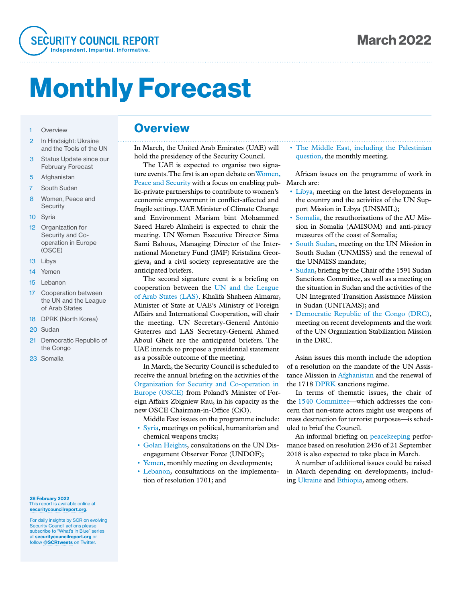

# Monthly Forecast

- 1 Overview
- 2 In Hindsight: Ukraine and the Tools of the UN
- 3 Status Update since our February Forecast
- 5 Afghanistan
- 7 South Sudan
- 8 Women, Peace and **Security**
- 10 Syria
- 12 Organization for Security and Cooperation in Europe (OSCE)
- 13 Libya
- 14 Yemen
- 15 Lebanon
- 17 Cooperation between the UN and the League of Arab States
- 18 DPRK (North Korea)
- 20 Sudan
- 21 Democratic Republic of the Congo
- 23 Somalia

#### 28 February 2022 This report is available online at securitycouncilreport.org.

For daily insights by SCR on evolving Security Council actions please subscribe to "What's In Blue" series at securitycouncilreport.org or follow @SCRtweets on Twitter

### **Overview**

In March, the United Arab Emirates (UAE) will hold the presidency of the Security Council.

The UAE is expected to organise two signature events. The first is an open debate on Women, Peace and Security with a focus on enabling public-private partnerships to contribute to women's economic empowerment in conflict-affected and fragile settings. UAE Minister of Climate Change and Environment Mariam bint Mohammed Saeed Hareb Almheiri is expected to chair the meeting. UN Women Executive Director Sima Sami Bahous, Managing Director of the International Monetary Fund (IMF) Kristalina Georgieva, and a civil society representative are the anticipated briefers.

The second signature event is a briefing on cooperation between the UN and the League of Arab States (LAS). Khalifa Shaheen Almarar, Minister of State at UAE's Ministry of Foreign Affairs and International Cooperation, will chair the meeting. UN Secretary-General António Guterres and LAS Secretary-General Ahmed Aboul Gheit are the anticipated briefers. The UAE intends to propose a presidential statement as a possible outcome of the meeting.

In March, the Security Council is scheduled to receive the annual briefing on the activities of the Organization for Security and Co-operation in Europe (OSCE) from Poland's Minister of Foreign Affairs Zbigniew Rau, in his capacity as the new OSCE Chairman-in-Office (CiO).

Middle East issues on the programme include:

- Syria, meetings on political, humanitarian and chemical weapons tracks;
- Golan Heights, consultations on the UN Disengagement Observer Force (UNDOF);
- Yemen, monthly meeting on developments;
- Lebanon, consultations on the implementation of resolution 1701; and

• The Middle East, including the Palestinian question, the monthly meeting.

African issues on the programme of work in March are:

- Libya, meeting on the latest developments in the country and the activities of the UN Support Mission in Libya (UNSMIL);
- Somalia, the reauthorisations of the AU Mission in Somalia (AMISOM) and anti-piracy measures off the coast of Somalia;
- South Sudan, meeting on the UN Mission in South Sudan (UNMISS) and the renewal of the UNMISS mandate;
- Sudan, briefing by the Chair of the 1591 Sudan Sanctions Committee, as well as a meeting on the situation in Sudan and the activities of the UN Integrated Transition Assistance Mission in Sudan (UNITAMS); and
- Democratic Republic of the Congo (DRC), meeting on recent developments and the work of the UN Organization Stabilization Mission in the DRC.

Asian issues this month include the adoption of a resolution on the mandate of the UN Assistance Mission in Afghanistan and the renewal of the 1718 DPRK sanctions regime.

In terms of thematic issues, the chair of the 1540 Committee—which addresses the concern that non-state actors might use weapons of mass destruction for terrorist purposes—is scheduled to brief the Council.

An informal briefing on peacekeeping performance based on resolution 2436 of 21 September 2018 is also expected to take place in March.

A number of additional issues could be raised in March depending on developments, including Ukraine and Ethiopia, among others.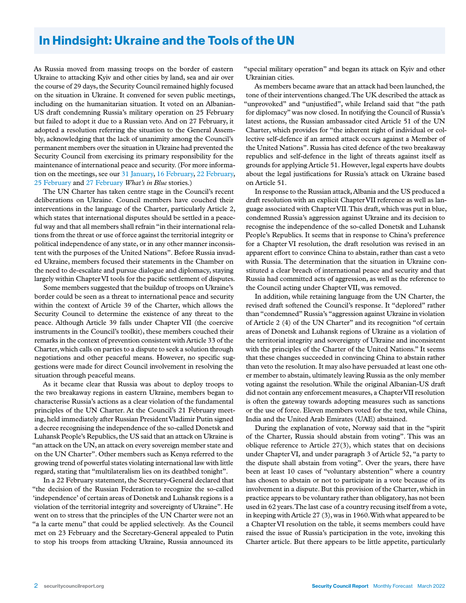# In Hindsight: Ukraine and the Tools of the UN

As Russia moved from massing troops on the border of eastern Ukraine to attacking Kyiv and other cities by land, sea and air over the course of 29 days, the Security Council remained highly focused on the situation in Ukraine. It convened for seven public meetings, including on the humanitarian situation. It voted on an Albanian-US draft condemning Russia's military operation on 25 February but failed to adopt it due to a Russian veto. And on 27 February, it adopted a resolution referring the situation to the General Assembly, acknowledging that the lack of unanimity among the Council's permanent members over the situation in Ukraine had prevented the Security Council from exercising its primary responsibility for the maintenance of international peace and security. (For more information on the meetings, see our 31 January, 16 February, 22 February, 25 February and 27 February *What's in Blue* stories.)

The UN Charter has taken centre stage in the Council's recent deliberations on Ukraine. Council members have couched their interventions in the language of the Charter, particularly Article 2, which states that international disputes should be settled in a peaceful way and that all members shall refrain "in their international relations from the threat or use of force against the territorial integrity or political independence of any state, or in any other manner inconsistent with the purposes of the United Nations". Before Russia invaded Ukraine, members focused their statements in the Chamber on the need to de-escalate and pursue dialogue and diplomacy, staying largely within Chapter VI tools for the pacific settlement of disputes.

Some members suggested that the buildup of troops on Ukraine's border could be seen as a threat to international peace and security within the context of Article 39 of the Charter, which allows the Security Council to determine the existence of any threat to the peace. Although Article 39 falls under Chapter VII (the coercive instruments in the Council's toolkit), these members couched their remarks in the context of prevention consistent with Article 33 of the Charter, which calls on parties to a dispute to seek a solution through negotiations and other peaceful means. However, no specific suggestions were made for direct Council involvement in resolving the situation through peaceful means.

As it became clear that Russia was about to deploy troops to the two breakaway regions in eastern Ukraine, members began to characterise Russia's actions as a clear violation of the fundamental principles of the UN Charter. At the Council's 21 February meeting, held immediately after Russian President Vladimir Putin signed a decree recognising the independence of the so-called Donetsk and Luhansk People's Republics, the US said that an attack on Ukraine is "an attack on the UN, an attack on every sovereign member state and on the UN Charter". Other members such as Kenya referred to the growing trend of powerful states violating international law with little regard, stating that "multilateralism lies on its deathbed tonight".

In a 22 February statement, the Secretary-General declared that "the decision of the Russian Federation to recognize the so-called 'independence' of certain areas of Donetsk and Luhansk regions is a violation of the territorial integrity and sovereignty of Ukraine". He went on to stress that the principles of the UN Charter were not an "a la carte menu" that could be applied selectively. As the Council met on 23 February and the Secretary-General appealed to Putin to stop his troops from attacking Ukraine, Russia announced its

"special military operation" and began its attack on Kyiv and other Ukrainian cities.

As members became aware that an attack had been launched, the tone of their interventions changed. The UK described the attack as "unprovoked" and "unjustified", while Ireland said that "the path for diplomacy" was now closed. In notifying the Council of Russia's latest actions, the Russian ambassador cited Article 51 of the UN Charter, which provides for "the inherent right of individual or collective self-defence if an armed attack occurs against a Member of the United Nations". Russia has cited defence of the two breakaway republics and self-defence in the light of threats against itself as grounds for applying Article 51. However, legal experts have doubts about the legal justifications for Russia's attack on Ukraine based on Article 51.

In response to the Russian attack, Albania and the US produced a draft resolution with an explicit Chapter VII reference as well as language associated with Chapter VII. This draft, which was put in blue, condemned Russia's aggression against Ukraine and its decision to recognise the independence of the so-called Donetsk and Luhansk People's Republics. It seems that in response to China's preference for a Chapter VI resolution, the draft resolution was revised in an apparent effort to convince China to abstain, rather than cast a veto with Russia. The determination that the situation in Ukraine constituted a clear breach of international peace and security and that Russia had committed acts of aggression, as well as the reference to the Council acting under Chapter VII, was removed.

In addition, while retaining language from the UN Charter, the revised draft softened the Council's response. It "deplored" rather than "condemned" Russia's "aggression against Ukraine in violation of Article 2 (4) of the UN Charter" and its recognition "of certain areas of Donetsk and Luhansk regions of Ukraine as a violation of the territorial integrity and sovereignty of Ukraine and inconsistent with the principles of the Charter of the United Nations." It seems that these changes succeeded in convincing China to abstain rather than veto the resolution. It may also have persuaded at least one other member to abstain, ultimately leaving Russia as the only member voting against the resolution. While the original Albanian-US draft did not contain any enforcement measures, a Chapter VII resolution is often the gateway towards adopting measures such as sanctions or the use of force. Eleven members voted for the text, while China, India and the United Arab Emirates (UAE) abstained.

During the explanation of vote, Norway said that in the "spirit of the Charter, Russia should abstain from voting". This was an oblique reference to Article 27(3), which states that on decisions under Chapter VI, and under paragraph 3 of Article 52, "a party to the dispute shall abstain from voting". Over the years, there have been at least 10 cases of "voluntary abstention" where a country has chosen to abstain or not to participate in a vote because of its involvement in a dispute. But this provision of the Charter, which in practice appears to be voluntary rather than obligatory, has not been used in 62 years. The last case of a country recusing itself from a vote, in keeping with Article 27 (3), was in 1960. With what appeared to be a Chapter VI resolution on the table, it seems members could have raised the issue of Russia's participation in the vote, invoking this Charter article. But there appears to be little appetite, particularly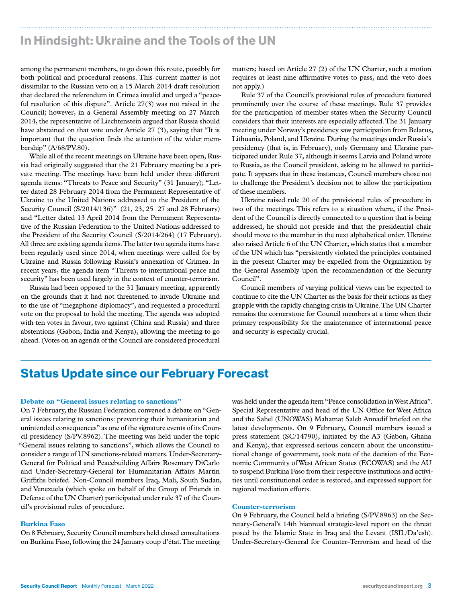# In Hindsight: Ukraine and the Tools of the UN

among the permanent members, to go down this route, possibly for both political and procedural reasons. This current matter is not dissimilar to the Russian veto on a 15 March 2014 draft resolution that declared the referendum in Crimea invalid and urged a "peaceful resolution of this dispute". Article 27(3) was not raised in the Council; however, in a General Assembly meeting on 27 March 2014, the representative of Liechtenstein argued that Russia should have abstained on that vote under Article 27 (3), saying that "It is important that the question finds the attention of the wider membership" (A/68/PV.80).

While all of the recent meetings on Ukraine have been open, Russia had originally suggested that the 21 February meeting be a private meeting. The meetings have been held under three different agenda items: "Threats to Peace and Security" (31 January); "Letter dated 28 February 2014 from the Permanent Representative of Ukraine to the United Nations addressed to the President of the Security Council (S/2014/136)" (21, 23, 25 27 and 28 February) and "Letter dated 13 April 2014 from the Permanent Representative of the Russian Federation to the United Nations addressed to the President of the Security Council (S/2014/264) (17 February). All three are existing agenda items. The latter two agenda items have been regularly used since 2014, when meetings were called for by Ukraine and Russia following Russia's annexation of Crimea. In recent years, the agenda item "Threats to international peace and security" has been used largely in the context of counter-terrorism.

Russia had been opposed to the 31 January meeting, apparently on the grounds that it had not threatened to invade Ukraine and to the use of "megaphone diplomacy", and requested a procedural vote on the proposal to hold the meeting. The agenda was adopted with ten votes in favour, two against (China and Russia) and three abstentions (Gabon, India and Kenya), allowing the meeting to go ahead. (Votes on an agenda of the Council are considered procedural matters; based on Article 27 (2) of the UN Charter, such a motion requires at least nine affirmative votes to pass, and the veto does not apply.)

Rule 37 of the Council's provisional rules of procedure featured prominently over the course of these meetings. Rule 37 provides for the participation of member states when the Security Council considers that their interests are especially affected. The 31 January meeting under Norway's presidency saw participation from Belarus, Lithuania, Poland, and Ukraine. During the meetings under Russia's presidency (that is, in February), only Germany and Ukraine participated under Rule 37, although it seems Latvia and Poland wrote to Russia, as the Council president, asking to be allowed to participate. It appears that in these instances, Council members chose not to challenge the President's decision not to allow the participation of these members.

Ukraine raised rule 20 of the provisional rules of procedure in two of the meetings. This refers to a situation where, if the President of the Council is directly connected to a question that is being addressed, he should not preside and that the presidential chair should move to the member in the next alphabetical order. Ukraine also raised Article 6 of the UN Charter, which states that a member of the UN which has "persistently violated the principles contained in the present Charter may be expelled from the Organization by the General Assembly upon the recommendation of the Security Council".

Council members of varying political views can be expected to continue to cite the UN Charter as the basis for their actions as they grapple with the rapidly changing crisis in Ukraine. The UN Charter remains the cornerstone for Council members at a time when their primary responsibility for the maintenance of international peace and security is especially crucial.

# Status Update since our February Forecast

### **Debate on "General issues relating to sanctions"**

On 7 February, the Russian Federation convened a debate on "General issues relating to sanctions: preventing their humanitarian and unintended consequences" as one of the signature events of its Council presidency (S/PV.8962). The meeting was held under the topic "General issues relating to sanctions", which allows the Council to consider a range of UN sanctions-related matters. Under-Secretary-General for Political and Peacebuilding Affairs Rosemary DiCarlo and Under-Secretary-General for Humanitarian Affairs Martin Griffiths briefed. Non-Council members Iraq, Mali, South Sudan, and Venezuela (which spoke on behalf of the Group of Friends in Defense of the UN Charter) participated under rule 37 of the Council's provisional rules of procedure.

### **Burkina Faso**

On 8 February, Security Council members held closed consultations on Burkina Faso, following the 24 January coup d'état. The meeting

was held under the agenda item "Peace consolidation in West Africa". Special Representative and head of the UN Office for West Africa and the Sahel (UNOWAS) Mahamat Saleh Annadif briefed on the latest developments. On 9 February, Council members issued a press statement (SC/14790), initiated by the A3 (Gabon, Ghana and Kenya), that expressed serious concern about the unconstitutional change of government, took note of the decision of the Economic Community of West African States (ECOWAS) and the AU to suspend Burkina Faso from their respective institutions and activities until constitutional order is restored, and expressed support for regional mediation efforts.

### **Counter-terrorism**

On 9 February, the Council held a briefing (S/PV.8963) on the Secretary-General's 14th biannual strategic-level report on the threat posed by the Islamic State in Iraq and the Levant (ISIL/Da'esh). Under-Secretary-General for Counter-Terrorism and head of the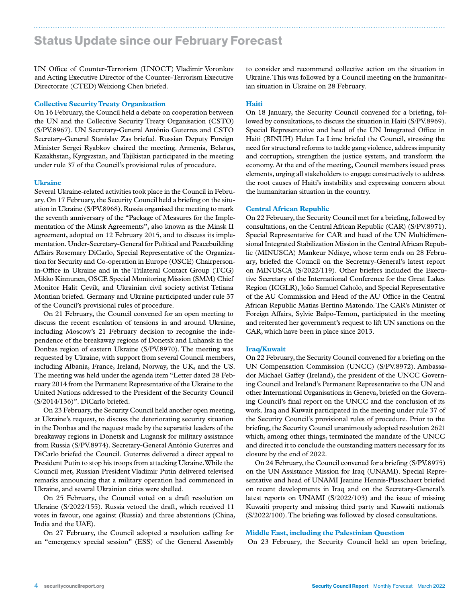# Status Update since our February Forecast

UN Office of Counter-Terrorism (UNOCT) Vladimir Voronkov and Acting Executive Director of the Counter-Terrorism Executive Directorate (CTED) Weixiong Chen briefed.

### **Collective Security Treaty Organization**

On 16 February, the Council held a debate on cooperation between the UN and the Collective Security Treaty Organisation (CSTO) (S/PV.8967). UN Secretary-General António Guterres and CSTO Secretary-General Stanislav Zas briefed. Russian Deputy Foreign Minister Sergei Ryabkov chaired the meeting. Armenia, Belarus, Kazakhstan, Kyrgyzstan, and Tajikistan participated in the meeting under rule 37 of the Council's provisional rules of procedure.

### **Ukraine**

Several Ukraine-related activities took place in the Council in February. On 17 February, the Security Council held a briefing on the situation in Ukraine (S/PV.8968). Russia organised the meeting to mark the seventh anniversary of the "Package of Measures for the Implementation of the Minsk Agreements", also known as the Minsk II agreement, adopted on 12 February 2015, and to discuss its implementation. Under-Secretary-General for Political and Peacebuilding Affairs Rosemary DiCarlo, Special Representative of the Organization for Security and Co-operation in Europe (OSCE) Chairpersonin-Office in Ukraine and in the Trilateral Contact Group (TCG) Mikko Kinnunen, OSCE Special Monitoring Mission (SMM) Chief Monitor Halit Çevik, and Ukrainian civil society activist Tetiana Montian briefed. Germany and Ukraine participated under rule 37 of the Council's provisional rules of procedure.

On 21 February, the Council convened for an open meeting to discuss the recent escalation of tensions in and around Ukraine, including Moscow's 21 February decision to recognise the independence of the breakaway regions of Donetsk and Luhansk in the Donbas region of eastern Ukraine (S/PV.8970). The meeting was requested by Ukraine, with support from several Council members, including Albania, France, Ireland, Norway, the UK, and the US. The meeting was held under the agenda item "Letter dated 28 February 2014 from the Permanent Representative of the Ukraine to the United Nations addressed to the President of the Security Council (S/2014/136)". DiCarlo briefed.

On 23 February, the Security Council held another open meeting, at Ukraine's request, to discuss the deteriorating security situation in the Donbas and the request made by the separatist leaders of the breakaway regions in Donetsk and Lugansk for military assistance from Russia (S/PV.8974). Secretary-General António Guterres and DiCarlo briefed the Council. Guterres delivered a direct appeal to President Putin to stop his troops from attacking Ukraine. While the Council met, Russian President Vladimir Putin delivered televised remarks announcing that a military operation had commenced in Ukraine, and several Ukrainian cities were shelled.

On 25 February, the Council voted on a draft resolution on Ukraine (S/2022/155). Russia vetoed the draft, which received 11 votes in favour, one against (Russia) and three abstentions (China, India and the UAE).

On 27 February, the Council adopted a resolution calling for an "emergency special session" (ESS) of the General Assembly to consider and recommend collective action on the situation in Ukraine. This was followed by a Council meeting on the humanitarian situation in Ukraine on 28 February.

### **Haiti**

On 18 January, the Security Council convened for a briefing, followed by consultations, to discuss the situation in Haiti (S/PV.8969). Special Representative and head of the UN Integrated Office in Haiti (BINUH) Helen La Lime briefed the Council, stressing the need for structural reforms to tackle gang violence, address impunity and corruption, strengthen the justice system, and transform the economy. At the end of the meeting, Council members issued press elements, urging all stakeholders to engage constructively to address the root causes of Haiti's instability and expressing concern about the humanitarian situation in the country.

### **Central African Republic**

On 22 February, the Security Council met for a briefing, followed by consultations, on the Central African Republic (CAR) (S/PV.8971). Special Representative for CAR and head of the UN Multidimensional Integrated Stabilization Mission in the Central African Republic (MINUSCA) Mankeur Ndiaye, whose term ends on 28 February, briefed the Council on the Secretary-General's latest report on MINUSCA (S/2022/119). Other briefers included the Executive Secretary of the International Conference for the Great Lakes Region (ICGLR), João Samuel Caholo, and Special Representative of the AU Commission and Head of the AU Office in the Central African Republic Matias Bertino Matondo. The CAR's Minister of Foreign Affairs, Sylvie Baïpo-Temon, participated in the meeting and reiterated her government's request to lift UN sanctions on the CAR, which have been in place since 2013.

### **Iraq/Kuwait**

On 22 February, the Security Council convened for a briefing on the UN Compensation Commission (UNCC) (S/PV.8972). Ambassador Michael Gaffey (Ireland), the president of the UNCC Governing Council and Ireland's Permanent Representative to the UN and other International Organisations in Geneva, briefed on the Governing Council's final report on the UNCC and the conclusion of its work. Iraq and Kuwait participated in the meeting under rule 37 of the Security Council's provisional rules of procedure. Prior to the briefing, the Security Council unanimously adopted resolution 2621 which, among other things, terminated the mandate of the UNCC and directed it to conclude the outstanding matters necessary for its closure by the end of 2022.

On 24 February, the Council convened for a briefing (S/PV.8975) on the UN Assistance Mission for Iraq (UNAMI). Special Representative and head of UNAMI Jeanine Hennis-Plasschaert briefed on recent developments in Iraq and on the Secretary-General's latest reports on UNAMI (S/2022/103) and the issue of missing Kuwaiti property and missing third party and Kuwaiti nationals (S/2022/100). The briefing was followed by closed consultations.

### **Middle East, including the Palestinian Question**

On 23 February, the Security Council held an open briefing,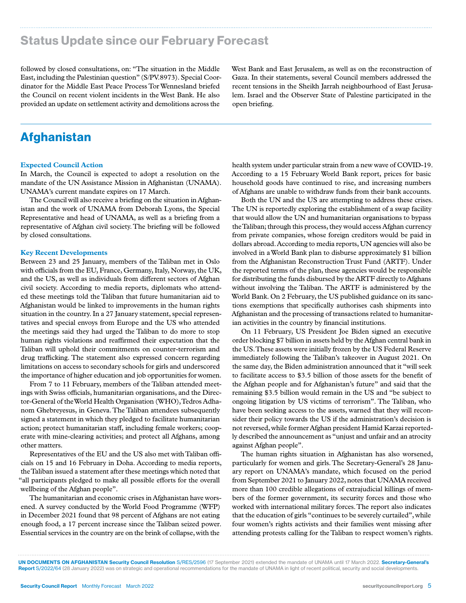# Status Update since our February Forecast

followed by closed consultations, on: "The situation in the Middle East, including the Palestinian question" (S/PV.8973). Special Coordinator for the Middle East Peace Process Tor Wennesland briefed the Council on recent violent incidents in the West Bank. He also provided an update on settlement activity and demolitions across the

West Bank and East Jerusalem, as well as on the reconstruction of Gaza. In their statements, several Council members addressed the recent tensions in the Sheikh Jarrah neighbourhood of East Jerusalem. Israel and the Observer State of Palestine participated in the open briefing.

# Afghanistan

#### **Expected Council Action**

In March, the Council is expected to adopt a resolution on the mandate of the UN Assistance Mission in Afghanistan (UNAMA). UNAMA's current mandate expires on 17 March.

The Council will also receive a briefing on the situation in Afghanistan and the work of UNAMA from Deborah Lyons, the Special Representative and head of UNAMA, as well as a briefing from a representative of Afghan civil society. The briefing will be followed by closed consultations.

#### **Key Recent Developments**

Between 23 and 25 January, members of the Taliban met in Oslo with officials from the EU, France, Germany, Italy, Norway, the UK, and the US, as well as individuals from different sectors of Afghan civil society. According to media reports, diplomats who attended these meetings told the Taliban that future humanitarian aid to Afghanistan would be linked to improvements in the human rights situation in the country. In a 27 January statement, special representatives and special envoys from Europe and the US who attended the meetings said they had urged the Taliban to do more to stop human rights violations and reaffirmed their expectation that the Taliban will uphold their commitments on counter-terrorism and drug trafficking. The statement also expressed concern regarding limitations on access to secondary schools for girls and underscored the importance of higher education and job opportunities for women.

From 7 to 11 February, members of the Taliban attended meetings with Swiss officials, humanitarian organisations, and the Director-General of the World Health Organisation (WHO), Tedros Adhanom Ghebreyesus, in Geneva. The Taliban attendees subsequently signed a statement in which they pledged to facilitate humanitarian action; protect humanitarian staff, including female workers; cooperate with mine-clearing activities; and protect all Afghans, among other matters.

Representatives of the EU and the US also met with Taliban officials on 15 and 16 February in Doha. According to media reports, the Taliban issued a statement after these meetings which noted that "all participants pledged to make all possible efforts for the overall wellbeing of the Afghan people".

The humanitarian and economic crises in Afghanistan have worsened. A survey conducted by the World Food Programme (WFP) in December 2021 found that 98 percent of Afghans are not eating enough food, a 17 percent increase since the Taliban seized power. Essential services in the country are on the brink of collapse, with the

health system under particular strain from a new wave of COVID-19. According to a 15 February World Bank report, prices for basic household goods have continued to rise, and increasing numbers of Afghans are unable to withdraw funds from their bank accounts.

Both the UN and the US are attempting to address these crises. The UN is reportedly exploring the establishment of a swap facility that would allow the UN and humanitarian organisations to bypass the Taliban; through this process, they would access Afghan currency from private companies, whose foreign creditors would be paid in dollars abroad. According to media reports, UN agencies will also be involved in a World Bank plan to disburse approximately \$1 billion from the Afghanistan Reconstruction Trust Fund (ARTF). Under the reported terms of the plan, these agencies would be responsible for distributing the funds disbursed by the ARTF directly to Afghans without involving the Taliban. The ARTF is administered by the World Bank. On 2 February, the US published guidance on its sanctions exemptions that specifically authorises cash shipments into Afghanistan and the processing of transactions related to humanitarian activities in the country by financial institutions.

On 11 February, US President Joe Biden signed an executive order blocking \$7 billion in assets held by the Afghan central bank in the US. These assets were initially frozen by the US Federal Reserve immediately following the Taliban's takeover in August 2021. On the same day, the Biden administration announced that it "will seek to facilitate access to \$3.5 billion of those assets for the benefit of the Afghan people and for Afghanistan's future" and said that the remaining \$3.5 billion would remain in the US and "be subject to ongoing litigation by US victims of terrorism". The Taliban, who have been seeking access to the assets, warned that they will reconsider their policy towards the US if the administration's decision is not reversed, while former Afghan president Hamid Karzai reportedly described the announcement as "unjust and unfair and an atrocity against Afghan people".

The human rights situation in Afghanistan has also worsened, particularly for women and girls. The Secretary-General's 28 January report on UNAMA's mandate, which focused on the period from September 2021 to January 2022, notes that UNAMA received more than 100 credible allegations of extrajudicial killings of members of the former government, its security forces and those who worked with international military forces. The report also indicates that the education of girls "continues to be severely curtailed", while four women's rights activists and their families went missing after attending protests calling for the Taliban to respect women's rights.

Report S/2022/64 (28 January 2022) was on strategic and operational recommendations for the mandate of UNAMA in light of recent political, security and social developments.

UN DOCUMENTS ON AFGHANISTAN Security Council Resolution S/RES/2596 (17 September 2021) extended the mandate of UNAMA until 17 March 2022. Secretary-General's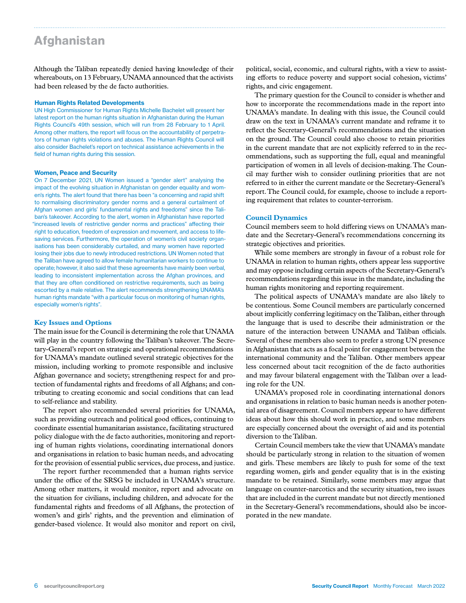# **Afghanistan**

Although the Taliban repeatedly denied having knowledge of their whereabouts, on 13 February, UNAMA announced that the activists had been released by the de facto authorities.

#### Human Rights Related Developments

UN High Commissioner for Human Rights Michelle Bachelet will present her latest report on the human rights situation in Afghanistan during the Human Rights Council's 49th session, which will run from 28 February to 1 April. Among other matters, the report will focus on the accountability of perpetrators of human rights violations and abuses. The Human Rights Council will also consider Bachelet's report on technical assistance achievements in the field of human rights during this session.

#### Women, Peace and Security

On 7 December 2021, UN Women issued a "gender alert" analysing the impact of the evolving situation in Afghanistan on gender equality and women's rights. The alert found that there has been "a concerning and rapid shift to normalising discriminatory gender norms and a general curtailment of Afghan women and girls' fundamental rights and freedoms" since the Taliban's takeover. According to the alert, women in Afghanistan have reported "increased levels of restrictive gender norms and practices" affecting their right to education, freedom of expression and movement, and access to lifesaving services. Furthermore, the operation of women's civil society organisations has been considerably curtailed, and many women have reported losing their jobs due to newly introduced restrictions. UN Women noted that the Taliban have agreed to allow female humanitarian workers to continue to operate; however, it also said that these agreements have mainly been verbal, leading to inconsistent implementation across the Afghan provinces, and that they are often conditioned on restrictive requirements, such as being escorted by a male relative. The alert recommends strengthening UNAMA's human rights mandate "with a particular focus on monitoring of human rights, especially women's rights".

#### **Key Issues and Options**

The main issue for the Council is determining the role that UNAMA will play in the country following the Taliban's takeover. The Secretary-General's report on strategic and operational recommendations for UNAMA's mandate outlined several strategic objectives for the mission, including working to promote responsible and inclusive Afghan governance and society; strengthening respect for and protection of fundamental rights and freedoms of all Afghans; and contributing to creating economic and social conditions that can lead to self-reliance and stability.

The report also recommended several priorities for UNAMA, such as providing outreach and political good offices, continuing to coordinate essential humanitarian assistance, facilitating structured policy dialogue with the de facto authorities, monitoring and reporting of human rights violations, coordinating international donors and organisations in relation to basic human needs, and advocating for the provision of essential public services, due process, and justice.

The report further recommended that a human rights service under the office of the SRSG be included in UNAMA's structure. Among other matters, it would monitor, report and advocate on the situation for civilians, including children, and advocate for the fundamental rights and freedoms of all Afghans, the protection of women's and girls' rights, and the prevention and elimination of gender-based violence. It would also monitor and report on civil, political, social, economic, and cultural rights, with a view to assisting efforts to reduce poverty and support social cohesion, victims' rights, and civic engagement.

The primary question for the Council to consider is whether and how to incorporate the recommendations made in the report into UNAMA's mandate. In dealing with this issue, the Council could draw on the text in UNAMA's current mandate and reframe it to reflect the Secretary-General's recommendations and the situation on the ground. The Council could also choose to retain priorities in the current mandate that are not explicitly referred to in the recommendations, such as supporting the full, equal and meaningful participation of women in all levels of decision-making. The Council may further wish to consider outlining priorities that are not referred to in either the current mandate or the Secretary-General's report. The Council could, for example, choose to include a reporting requirement that relates to counter-terrorism.

#### **Council Dynamics**

Council members seem to hold differing views on UNAMA's mandate and the Secretary-General's recommendations concerning its strategic objectives and priorities.

While some members are strongly in favour of a robust role for UNAMA in relation to human rights, others appear less supportive and may oppose including certain aspects of the Secretary-General's recommendations regarding this issue in the mandate, including the human rights monitoring and reporting requirement.

The political aspects of UNAMA's mandate are also likely to be contentious. Some Council members are particularly concerned about implicitly conferring legitimacy on the Taliban, either through the language that is used to describe their administration or the nature of the interaction between UNAMA and Taliban officials. Several of these members also seem to prefer a strong UN presence in Afghanistan that acts as a focal point for engagement between the international community and the Taliban. Other members appear less concerned about tacit recognition of the de facto authorities and may favour bilateral engagement with the Taliban over a leading role for the UN.

UNAMA's proposed role in coordinating international donors and organisations in relation to basic human needs is another potential area of disagreement. Council members appear to have different ideas about how this should work in practice, and some members are especially concerned about the oversight of aid and its potential diversion to the Taliban.

Certain Council members take the view that UNAMA's mandate should be particularly strong in relation to the situation of women and girls. These members are likely to push for some of the text regarding women, girls and gender equality that is in the existing mandate to be retained. Similarly, some members may argue that language on counter-narcotics and the security situation, two issues that are included in the current mandate but not directly mentioned in the Secretary-General's recommendations, should also be incorporated in the new mandate.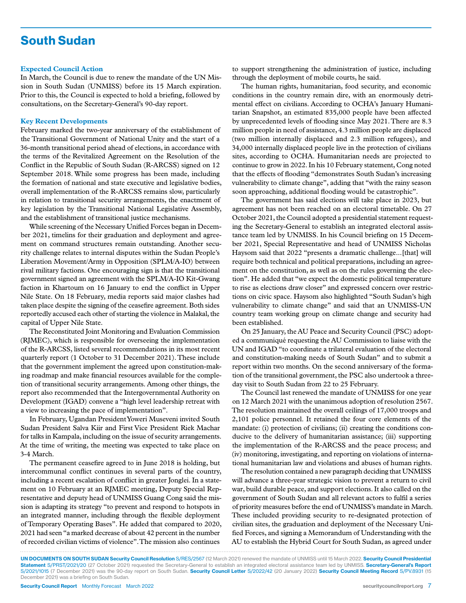# South Sudan

#### **Expected Council Action**

In March, the Council is due to renew the mandate of the UN Mission in South Sudan (UNMISS) before its 15 March expiration. Prior to this, the Council is expected to hold a briefing, followed by consultations, on the Secretary-General's 90-day report.

#### **Key Recent Developments**

February marked the two-year anniversary of the establishment of the Transitional Government of National Unity and the start of a 36-month transitional period ahead of elections, in accordance with the terms of the Revitalized Agreement on the Resolution of the Conflict in the Republic of South Sudan (R-ARCSS) signed on 12 September 2018. While some progress has been made, including the formation of national and state executive and legislative bodies, overall implementation of the R-ARCSS remains slow, particularly in relation to transitional security arrangements, the enactment of key legislation by the Transitional National Legislative Assembly, and the establishment of transitional justice mechanisms.

While screening of the Necessary Unified Forces began in December 2021, timelins for their graduation and deployment and agreement on command structures remain outstanding. Another security challenge relates to internal disputes within the Sudan People's Liberation Movement/Army in Opposition (SPLM/A-IO) between rival military factions. One encouraging sign is that the transitional government signed an agreement with the SPLM/A-IO Kit-Gwang faction in Khartoum on 16 January to end the conflict in Upper Nile State. On 18 February, media reports said major clashes had taken place despite the signing of the ceasefire agreement. Both sides reportedly accused each other of starting the violence in Malakal, the capital of Upper Nile State.

The Reconstituted Joint Monitoring and Evaluation Commission (RJMEC), which is responsible for overseeing the implementation of the R-ARCSS, listed several recommendations in its most recent quarterly report (1 October to 31 December 2021). These include that the government implement the agreed upon constitution-making roadmap and make financial resources available for the completion of transitional security arrangements. Among other things, the report also recommended that the Intergovernmental Authority on Development (IGAD) convene a "high level leadership retreat with a view to increasing the pace of implementation".

In February, Ugandan President Yoweri Museveni invited South Sudan President Salva Kiir and First Vice President Riek Machar for talks in Kampala, including on the issue of security arrangements. At the time of writing, the meeting was expected to take place on 3-4 March.

The permanent ceasefire agreed to in June 2018 is holding, but intercommunal conflict continues in several parts of the country, including a recent escalation of conflict in greater Jonglei. In a statement on 10 February at an RJMEC meeting, Deputy Special Representative and deputy head of UNMISS Guang Cong said the mission is adapting its strategy "to prevent and respond to hotspots in an integrated manner, including through the flexible deployment of Temporary Operating Bases". He added that compared to 2020, 2021 had seen "a marked decrease of about 42 percent in the number of recorded civilian victims of violence". The mission also continues

to support strengthening the administration of justice, including through the deployment of mobile courts, he said.

The human rights, humanitarian, food security, and economic conditions in the country remain dire, with an enormously detrimental effect on civilians. According to OCHA's January Humanitarian Snapshot, an estimated 835,000 people have been affected by unprecedented levels of flooding since May 2021. There are 8.3 million people in need of assistance, 4.3 million people are displaced (two million internally displaced and 2.3 million refugees), and 34,000 internally displaced people live in the protection of civilians sites, according to OCHA. Humanitarian needs are projected to continue to grow in 2022. In his 10 February statement, Cong noted that the effects of flooding "demonstrates South Sudan's increasing vulnerability to climate change", adding that "with the rainy season soon approaching, additional flooding would be catastrophic".

The government has said elections will take place in 2023, but agreement has not been reached on an electoral timetable. On 27 October 2021, the Council adopted a presidential statement requesting the Secretary-General to establish an integrated electoral assistance team led by UNMISS. In his Council briefing on 15 December 2021, Special Representative and head of UNMISS Nicholas Haysom said that 2022 "presents a dramatic challenge...[that] will require both technical and political preparations, including an agreement on the constitution, as well as on the rules governing the election". He added that "we expect the domestic political temperature to rise as elections draw closer" and expressed concern over restrictions on civic space. Haysom also highlighted "South Sudan's high vulnerability to climate change" and said that an UNMISS-UN country team working group on climate change and security had been established.

On 25 January, the AU Peace and Security Council (PSC) adopted a communiqué requesting the AU Commission to liaise with the UN and IGAD "to coordinate a trilateral evaluation of the electoral and constitution-making needs of South Sudan" and to submit a report within two months. On the second anniversary of the formation of the transitional government, the PSC also undertook a threeday visit to South Sudan from 22 to 25 February.

The Council last renewed the mandate of UNMISS for one year on 12 March 2021 with the unanimous adoption of resolution 2567. The resolution maintained the overall ceilings of 17,000 troops and 2,101 police personnel. It retained the four core elements of the mandate: (i) protection of civilians; (ii) creating the conditions conducive to the delivery of humanitarian assistance; (iii) supporting the implementation of the R-ARCSS and the peace process; and (iv) monitoring, investigating, and reporting on violations of international humanitarian law and violations and abuses of human rights.

The resolution contained a new paragraph deciding that UNMISS will advance a three-year strategic vision to prevent a return to civil war, build durable peace, and support elections. It also called on the government of South Sudan and all relevant actors to fulfil a series of priority measures before the end of UNMISS's mandate in March. These included providing security to re-designated protection of civilian sites, the graduation and deployment of the Necessary Unified Forces, and signing a Memorandum of Understanding with the AU to establish the Hybrid Court for South Sudan, as agreed under

UN DOCUMENTS ON SOUTH SUDAN Security Council Resolution S/RES/2567 (12 March 2021) renewed the mandate of UNMISS until 15 March 2022. Security Council Presidential Statement S/PRST/2021/20 (27 October 2021) requested the Secretary-General to establish an integrated electoral assistance team led by UNMISS. Secretary-General's Report S/2021/1015 (7 December 2021) was the 90-day report on South Sudan. Security Council Letter S/2022/42 (20 January 2022) Security Council Meeting Record S/PV.8931 (15 December 2021) was a briefing on South Sudan.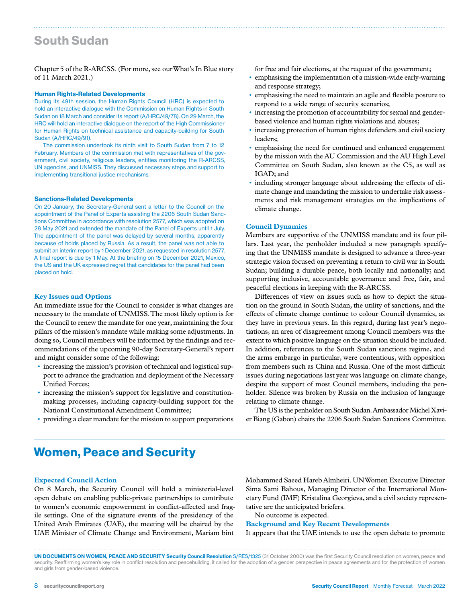# South Sudan

Chapter 5 of the R-ARCSS. (For more, see our What's In Blue story of 11 March 2021.)

#### Human Rights-Related Developments

During its 49th session, the Human Rights Council (HRC) is expected to hold an interactive dialogue with the Commission on Human Rights in South Sudan on 18 March and consider its report (A/HRC/49/78). On 29 March, the HRC will hold an interactive dialogue on the report of the High Commissioner for Human Rights on technical assistance and capacity-building for South Sudan (A/HRC/49/91).

The commission undertook its ninth visit to South Sudan from 7 to 12 February. Members of the commission met with representatives of the government, civil society, religious leaders, entities monitoring the R-ARCSS, UN agencies, and UNMISS. They discussed necessary steps and support to implementing transitional justice mechanisms.

#### Sanctions-Related Developments

On 20 January, the Secretary-General sent a letter to the Council on the appointment of the Panel of Experts assisting the 2206 South Sudan Sanctions Committee in accordance with resolution 2577, which was adopted on 28 May 2021 and extended the mandate of the Panel of Experts until 1 July. The appointment of the panel was delayed by several months, apparently because of holds placed by Russia. As a result, the panel was not able to submit an interim report by 1 December 2021, as requested in resolution 2577. A final report is due by 1 May. At the briefing on 15 December 2021, Mexico, the US and the UK expressed regret that candidates for the panel had been placed on hold.

#### **Key Issues and Options**

An immediate issue for the Council to consider is what changes are necessary to the mandate of UNMISS. The most likely option is for the Council to renew the mandate for one year, maintaining the four pillars of the mission's mandate while making some adjustments. In doing so, Council members will be informed by the findings and recommendations of the upcoming 90-day Secretary-General's report and might consider some of the following:

- increasing the mission's provision of technical and logistical support to advance the graduation and deployment of the Necessary Unified Forces;
- increasing the mission's support for legislative and constitutionmaking processes, including capacity-building support for the National Constitutional Amendment Committee;
- providing a clear mandate for the mission to support preparations

for free and fair elections, at the request of the government;

- emphasising the implementation of a mission-wide early-warning and response strategy;
- emphasising the need to maintain an agile and flexible posture to respond to a wide range of security scenarios;
- increasing the promotion of accountability for sexual and genderbased violence and human rights violations and abuses;
- increasing protection of human rights defenders and civil society leaders;
- emphasising the need for continued and enhanced engagement by the mission with the AU Commission and the AU High Level Committee on South Sudan, also known as the C5, as well as IGAD; and
- including stronger language about addressing the effects of climate change and mandating the mission to undertake risk assessments and risk management strategies on the implications of climate change.

#### **Council Dynamics**

Members are supportive of the UNMISS mandate and its four pillars. Last year, the penholder included a new paragraph specifying that the UNMISS mandate is designed to advance a three-year strategic vision focused on preventing a return to civil war in South Sudan; building a durable peace, both locally and nationally; and supporting inclusive, accountable governance and free, fair, and peaceful elections in keeping with the R-ARCSS.

Differences of view on issues such as how to depict the situation on the ground in South Sudan, the utility of sanctions, and the effects of climate change continue to colour Council dynamics, as they have in previous years. In this regard, during last year's negotiations, an area of disagreement among Council members was the extent to which positive language on the situation should be included. In addition, references to the South Sudan sanctions regime, and the arms embargo in particular, were contentious, with opposition from members such as China and Russia. One of the most difficult issues during negotiations last year was language on climate change, despite the support of most Council members, including the penholder. Silence was broken by Russia on the inclusion of language relating to climate change.

The US is the penholder on South Sudan. Ambassador Michel Xavier Biang (Gabon) chairs the 2206 South Sudan Sanctions Committee.

### Women, Peace and Security

### **Expected Council Action**

On 8 March, the Security Council will hold a ministerial-level open debate on enabling public-private partnerships to contribute to women's economic empowerment in conflict-affected and fragile settings. One of the signature events of the presidency of the United Arab Emirates (UAE), the meeting will be chaired by the UAE Minister of Climate Change and Environment, Mariam bint

Mohammed Saeed Hareb Almheiri. UN Women Executive Director Sima Sami Bahous, Managing Director of the International Monetary Fund (IMF) Kristalina Georgieva, and a civil society representative are the anticipated briefers.

No outcome is expected.

**Background and Key Recent Developments**  It appears that the UAE intends to use the open debate to promote

UN DOCUMENTS ON WOMEN, PEACE AND SECURITY Security Council Resolution S/RES/1325 (31 October 2000) was the first Security Council resolution on women, peace and security. Reaffirming women's key role in conflict resolution and peacebuilding, it called for the adoption of a gender perspective in peace agreements and for the protection of women and girls from gender-based violence.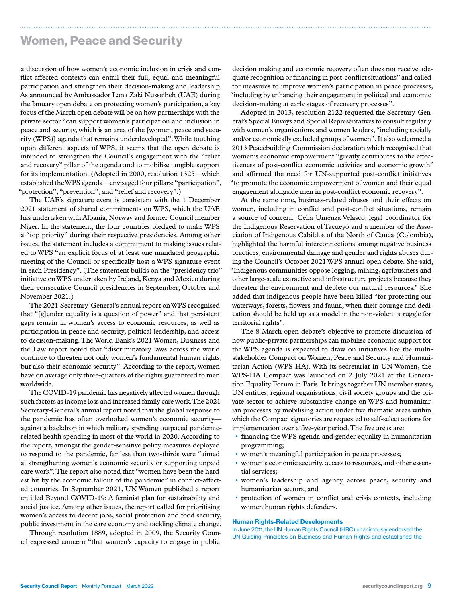# Women, Peace and Security

a discussion of how women's economic inclusion in crisis and conflict-affected contexts can entail their full, equal and meaningful participation and strengthen their decision-making and leadership. As announced by Ambassador Lana Zaki Nusseibeh (UAE) during the January open debate on protecting women's participation, a key focus of the March open debate will be on how partnerships with the private sector "can support women's participation and inclusion in peace and security, which is an area of the [women, peace and security (WPS)] agenda that remains underdeveloped". While touching upon different aspects of WPS, it seems that the open debate is intended to strengthen the Council's engagement with the "relief and recovery" pillar of the agenda and to mobilise tangible support for its implementation. (Adopted in 2000, resolution 1325—which established the WPS agenda—envisaged four pillars: "participation", "protection", "prevention", and "relief and recovery".)

The UAE's signature event is consistent with the 1 December 2021 statement of shared commitments on WPS, which the UAE has undertaken with Albania, Norway and former Council member Niger. In the statement, the four countries pledged to make WPS a "top priority" during their respective presidencies. Among other issues, the statement includes a commitment to making issues related to WPS "an explicit focus of at least one mandated geographic meeting of the Council or specifically host a WPS signature event in each Presidency". (The statement builds on the "presidency trio" initiative on WPS undertaken by Ireland, Kenya and Mexico during their consecutive Council presidencies in September, October and November 2021.)

The 2021 Secretary-General's annual report on WPS recognised that "[g]ender equality is a question of power" and that persistent gaps remain in women's access to economic resources, as well as participation in peace and security, political leadership, and access to decision-making. The World Bank's 2021 Women, Business and the Law report noted that "discriminatory laws across the world continue to threaten not only women's fundamental human rights, but also their economic security". According to the report, women have on average only three-quarters of the rights guaranteed to men worldwide.

The COVID-19 pandemic has negatively affected women through such factors as income loss and increased family care work. The 2021 Secretary-General's annual report noted that the global response to the pandemic has often overlooked women's economic security against a backdrop in which military spending outpaced pandemicrelated health spending in most of the world in 2020. According to the report, amongst the gender-sensitive policy measures deployed to respond to the pandemic, far less than two-thirds were "aimed at strengthening women's economic security or supporting unpaid care work". The report also noted that "women have been the hardest hit by the economic fallout of the pandemic" in conflict-affected countries. In September 2021, UN Women published a report entitled Beyond COVID-19: A feminist plan for sustainability and social justice. Among other issues, the report called for prioritising women's access to decent jobs, social protection and food security, public investment in the care economy and tackling climate change.

Through resolution 1889, adopted in 2009, the Security Council expressed concern "that women's capacity to engage in public

decision making and economic recovery often does not receive adequate recognition or financing in post-conflict situations" and called for measures to improve women's participation in peace processes, "including by enhancing their engagement in political and economic decision-making at early stages of recovery processes".

Adopted in 2013, resolution 2122 requested the Secretary-General's Special Envoys and Special Representatives to consult regularly with women's organisations and women leaders, "including socially and/or economically excluded groups of women". It also welcomed a 2013 Peacebuilding Commission declaration which recognised that women's economic empowerment "greatly contributes to the effectiveness of post-conflict economic activities and economic growth" and affirmed the need for UN-supported post-conflict initiatives "to promote the economic empowerment of women and their equal engagement alongside men in post-conflict economic recovery".

At the same time, business-related abuses and their effects on women, including in conflict and post-conflict situations, remain a source of concern. Celia Umenza Velasco, legal coordinator for the Indigenous Reservation of Tacueyó and a member of the Association of Indigenous Cabildos of the North of Cauca (Colombia), highlighted the harmful interconnections among negative business practices, environmental damage and gender and rights abuses during the Council's October 2021 WPS annual open debate. She said, "Indigenous communities oppose logging, mining, agribusiness and other large-scale extractive and infrastructure projects because they threaten the environment and deplete our natural resources." She added that indigenous people have been killed "for protecting our waterways, forests, flowers and fauna, when their courage and dedication should be held up as a model in the non-violent struggle for territorial rights".

The 8 March open debate's objective to promote discussion of how public-private partnerships can mobilise economic support for the WPS agenda is expected to draw on initiatives like the multistakeholder Compact on Women, Peace and Security and Humanitarian Action (WPS-HA). With its secretariat in UN Women, the WPS-HA Compact was launched on 2 July 2021 at the Generation Equality Forum in Paris. It brings together UN member states, UN entities, regional organisations, civil society groups and the private sector to achieve substantive change on WPS and humanitarian processes by mobilising action under five thematic areas within which the Compact signatories are requested to self-select actions for implementation over a five-year period. The five areas are:

- financing the WPS agenda and gender equality in humanitarian programming;
- women's meaningful participation in peace processes;
- women's economic security, access to resources, and other essential services;
- women's leadership and agency across peace, security and humanitarian sectors; and
- protection of women in conflict and crisis contexts, including women human rights defenders.

#### Human Rights-Related Developments

In June 2011, the UN Human Rights Council (HRC) unanimously endorsed the UN Guiding Principles on Business and Human Rights and established the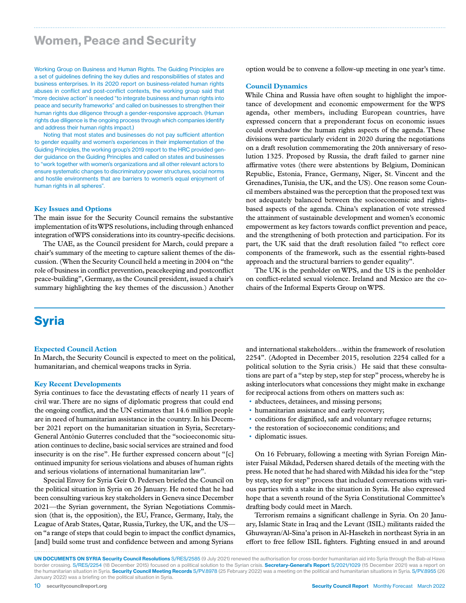### Women, Peace and Security

Working Group on Business and Human Rights. The Guiding Principles are a set of guidelines defining the key duties and responsibilities of states and business enterprises. In its 2020 report on business-related human rights abuses in conflict and post-conflict contexts, the working group said that "more decisive action" is needed "to integrate business and human rights into peace and security frameworks" and called on businesses to strengthen their human rights due diligence through a gender-responsive approach. (Human rights due diligence is the ongoing process through which companies identify and address their human rights impact.)

Noting that most states and businesses do not pay sufficient attention to gender equality and women's experiences in their implementation of the Guiding Principles, the working group's 2019 report to the HRC provided gender guidance on the Guiding Principles and called on states and businesses to "work together with women's organizations and all other relevant actors to ensure systematic changes to discriminatory power structures, social norms and hostile environments that are barriers to women's equal enjoyment of human rights in all spheres".

#### **Key Issues and Options**

The main issue for the Security Council remains the substantive implementation of its WPS resolutions, including through enhanced integration of WPS considerations into its country-specific decisions.

The UAE, as the Council president for March, could prepare a chair's summary of the meeting to capture salient themes of the discussion. (When the Security Council held a meeting in 2004 on "the role of business in conflict prevention, peacekeeping and postconflict peace-building", Germany, as the Council president, issued a chair's summary highlighting the key themes of the discussion.) Another

option would be to convene a follow-up meeting in one year's time.

### **Council Dynamics**

While China and Russia have often sought to highlight the importance of development and economic empowerment for the WPS agenda, other members, including European countries, have expressed concern that a preponderant focus on economic issues could overshadow the human rights aspects of the agenda. These divisions were particularly evident in 2020 during the negotiations on a draft resolution commemorating the 20th anniversary of resolution 1325. Proposed by Russia, the draft failed to garner nine affirmative votes (there were abstentions by Belgium, Dominican Republic, Estonia, France, Germany, Niger, St. Vincent and the Grenadines, Tunisia, the UK, and the US). One reason some Council members abstained was the perception that the proposed text was not adequately balanced between the socioeconomic and rightsbased aspects of the agenda. China's explanation of vote stressed the attainment of sustainable development and women's economic empowerment as key factors towards conflict prevention and peace, and the strengthening of both protection and participation. For its part, the UK said that the draft resolution failed "to reflect core components of the framework, such as the essential rights-based approach and the structural barriers to gender equality".

The UK is the penholder on WPS, and the US is the penholder on conflict-related sexual violence. Ireland and Mexico are the cochairs of the Informal Experts Group on WPS.

# **Syria**

#### **Expected Council Action**

In March, the Security Council is expected to meet on the political, humanitarian, and chemical weapons tracks in Syria.

### **Key Recent Developments**

Syria continues to face the devastating effects of nearly 11 years of civil war. There are no signs of diplomatic progress that could end the ongoing conflict, and the UN estimates that 14.6 million people are in need of humanitarian assistance in the country. In his December 2021 report on the humanitarian situation in Syria, Secretary-General António Guterres concluded that the "socioeconomic situation continues to decline, basic social services are strained and food insecurity is on the rise". He further expressed concern about "[c] ontinued impunity for serious violations and abuses of human rights and serious violations of international humanitarian law".

Special Envoy for Syria Geir O. Pedersen briefed the Council on the political situation in Syria on 26 January. He noted that he had been consulting various key stakeholders in Geneva since December 2021—the Syrian government, the Syrian Negotiations Commission (that is, the opposition), the EU, France, Germany, Italy, the League of Arab States, Qatar, Russia, Turkey, the UK, and the US on "a range of steps that could begin to impact the conflict dynamics, [and] build some trust and confidence between and among Syrians

and international stakeholders…within the framework of resolution 2254". (Adopted in December 2015, resolution 2254 called for a political solution to the Syria crisis.) He said that these consultations are part of a "step by step, step for step" process, whereby he is asking interlocutors what concessions they might make in exchange for reciprocal actions from others on matters such as:

- abductees, detainees, and missing persons;
- humanitarian assistance and early recovery;
- conditions for dignified, safe and voluntary refugee returns;
- the restoration of socioeconomic conditions; and
- diplomatic issues.

On 16 February, following a meeting with Syrian Foreign Minister Faisal Mikdad, Pedersen shared details of the meeting with the press. He noted that he had shared with Mikdad his idea for the "step by step, step for step" process that included conversations with various parties with a stake in the situation in Syria. He also expressed hope that a seventh round of the Syria Constitutional Committee's drafting body could meet in March.

Terrorism remains a significant challenge in Syria. On 20 January, Islamic State in Iraq and the Levant (ISIL) militants raided the Ghuwayran/Al-Sina'a prison in Al-Hasekeh in northeast Syria in an effort to free fellow ISIL fighters. Fighting ensued in and around

UN DOCUMENTS ON SYRIA Security Council Resolutions S/RES/2585 (9 July 2021) renewed the authorisation for cross-border humanitarian aid into Syria through the Bab-al Hawa border crossing. S/RES/2254 (18 December 2015) focused on a political solution to the Syrian crisis. Secretary-General's Report S/2021/1029 (15 December 2021) was a report on the humanitarian situation in Syria. Security Council Meeting Records S/PV.8978 (25 February 2022) was a meeting on the political and humanitarian situations in Syria. S/PV.8955 (26 January 2022) was a briefing on the political situation in Syria.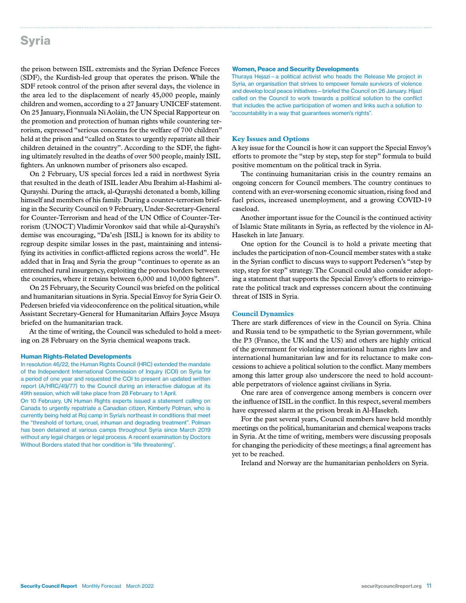# Syria

the prison between ISIL extremists and the Syrian Defence Forces (SDF), the Kurdish-led group that operates the prison. While the SDF retook control of the prison after several days, the violence in the area led to the displacement of nearly 45,000 people, mainly children and women, according to a 27 January UNICEF statement. On 25 January, Fionnuala Ní Aoláin, the UN Special Rapporteur on the promotion and protection of human rights while countering terrorism, expressed "serious concerns for the welfare of 700 children" held at the prison and "called on States to urgently repatriate all their children detained in the country". According to the SDF, the fighting ultimately resulted in the deaths of over 500 people, mainly ISIL fighters. An unknown number of prisoners also escaped.

On 2 February, US special forces led a raid in northwest Syria that resulted in the death of ISIL leader Abu Ibrahim al-Hashimi al-Qurayshi. During the attack, al-Qurayshi detonated a bomb, killing himself and members of his family. During a counter-terrorism briefing in the Security Council on 9 February, Under-Secretary-General for Counter-Terrorism and head of the UN Office of Counter-Terrorism (UNOCT) Vladimir Voronkov said that while al-Qurayshi's demise was encouraging, "Da'esh [ISIL] is known for its ability to regroup despite similar losses in the past, maintaining and intensifying its activities in conflict-afflicted regions across the world". He added that in Iraq and Syria the group "continues to operate as an entrenched rural insurgency, exploiting the porous borders between the countries, where it retains between 6,000 and 10,000 fighters".

On 25 February, the Security Council was briefed on the political and humanitarian situations in Syria. Special Envoy for Syria Geir O. Pedersen briefed via videoconference on the political situation, while Assistant Secretary-General for Humanitarian Affairs Joyce Msuya briefed on the humanitarian track.

At the time of writing, the Council was scheduled to hold a meeting on 28 February on the Syria chemical weapons track.

#### Human Rights-Related Developments

In resolution 46/22, the Human Rights Council (HRC) extended the mandate of the Independent International Commission of Inquiry (COI) on Syria for a period of one year and requested the COI to present an updated written report (A/HRC/49/77) to the Council during an interactive dialogue at its 49th session, which will take place from 28 February to 1 April.

On 10 February, UN Human Rights experts issued a statement calling on Canada to urgently repatriate a Canadian citizen, Kimberly Polman, who is currently being held at Roj camp in Syria's northeast in conditions that meet the "threshold of torture, cruel, inhuman and degrading treatment". Polman has been detained at various camps throughout Syria since March 2019 without any legal charges or legal process. A recent examination by Doctors Without Borders stated that her condition is "life threatening".

#### Women, Peace and Security Developments

Thuraya Hejazi—a political activist who heads the Release Me project in Syria, an organisation that strives to empower female survivors of violence and develop local peace initiatives—briefed the Council on 26 January. Hijazi called on the Council to work towards a political solution to the conflict that includes the active participation of women and links such a solution to "accountability in a way that guarantees women's rights".

#### **Key Issues and Options**

A key issue for the Council is how it can support the Special Envoy's efforts to promote the "step by step, step for step" formula to build positive momentum on the political track in Syria.

The continuing humanitarian crisis in the country remains an ongoing concern for Council members. The country continues to contend with an ever-worsening economic situation, rising food and fuel prices, increased unemployment, and a growing COVID-19 caseload.

Another important issue for the Council is the continued activity of Islamic State militants in Syria, as reflected by the violence in Al-Hasekeh in late January.

One option for the Council is to hold a private meeting that includes the participation of non-Council member states with a stake in the Syrian conflict to discuss ways to support Pedersen's "step by step, step for step" strategy. The Council could also consider adopting a statement that supports the Special Envoy's efforts to reinvigorate the political track and expresses concern about the continuing threat of ISIS in Syria.

### **Council Dynamics**

There are stark differences of view in the Council on Syria. China and Russia tend to be sympathetic to the Syrian government, while the P3 (France, the UK and the US) and others are highly critical of the government for violating international human rights law and international humanitarian law and for its reluctance to make concessions to achieve a political solution to the conflict. Many members among this latter group also underscore the need to hold accountable perpetrators of violence against civilians in Syria.

One rare area of convergence among members is concern over the influence of ISIL in the conflict. In this respect, several members have expressed alarm at the prison break in Al-Hasekeh.

For the past several years, Council members have held monthly meetings on the political, humanitarian and chemical weapons tracks in Syria. At the time of writing, members were discussing proposals for changing the periodicity of these meetings; a final agreement has yet to be reached.

Ireland and Norway are the humanitarian penholders on Syria.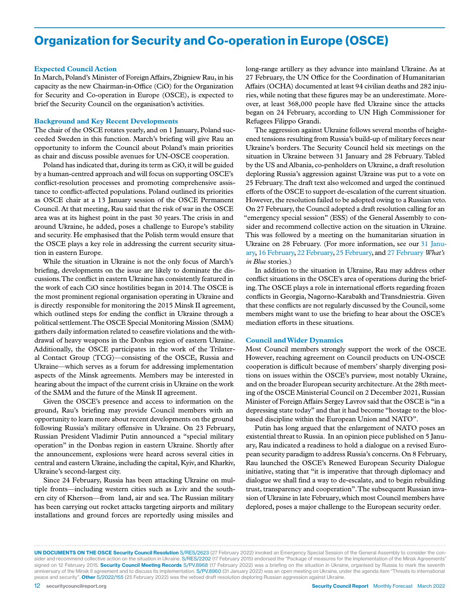# Organization for Security and Co-operation in Europe (OSCE)

#### **Expected Council Action**

In March, Poland's Minister of Foreign Affairs, Zbigniew Rau, in his capacity as the new Chairman-in-Office (CiO) for the Organization for Security and Co-operation in Europe (OSCE), is expected to brief the Security Council on the organisation's activities.

#### **Background and Key Recent Developments**

The chair of the OSCE rotates yearly, and on 1 January, Poland succeeded Sweden in this function. March's briefing will give Rau an opportunity to inform the Council about Poland's main priorities as chair and discuss possible avenues for UN-OSCE cooperation.

Poland has indicated that, during its term as CiO, it will be guided by a human-centred approach and will focus on supporting OSCE's conflict-resolution processes and promoting comprehensive assistance to conflict-affected populations. Poland outlined its priorities as OSCE chair at a 13 January session of the OSCE Permanent Council. At that meeting, Rau said that the risk of war in the OSCE area was at its highest point in the past 30 years. The crisis in and around Ukraine, he added, poses a challenge to Europe's stability and security. He emphasised that the Polish term would ensure that the OSCE plays a key role in addressing the current security situation in eastern Europe.

While the situation in Ukraine is not the only focus of March's briefing, developments on the issue are likely to dominate the discussions. The conflict in eastern Ukraine has consistently featured in the work of each CiO since hostilities began in 2014. The OSCE is the most prominent regional organisation operating in Ukraine and is directly responsible for monitoring the 2015 Minsk II agreement, which outlined steps for ending the conflict in Ukraine through a political settlement. The OSCE Special Monitoring Mission (SMM) gathers daily information related to ceasefire violations and the withdrawal of heavy weapons in the Donbas region of eastern Ukraine. Additionally, the OSCE participates in the work of the Trilateral Contact Group (TCG)—consisting of the OSCE, Russia and Ukraine—which serves as a forum for addressing implementation aspects of the Minsk agreements. Members may be interested in hearing about the impact of the current crisis in Ukraine on the work of the SMM and the future of the Minsk II agreement.

Given the OSCE's presence and access to information on the ground, Rau's briefing may provide Council members with an opportunity to learn more about recent developments on the ground following Russia's military offensive in Ukraine. On 23 February, Russian President Vladimir Putin announced a "special military operation" in the Donbas region in eastern Ukraine. Shortly after the announcement, explosions were heard across several cities in central and eastern Ukraine, including the capital, Kyiv, and Kharkiv, Ukraine's second-largest city.

Since 24 February, Russia has been attacking Ukraine on multiple fronts—including western cities such as Lviv and the southern city of Kherson—from land, air and sea. The Russian military has been carrying out rocket attacks targeting airports and military installations and ground forces are reportedly using missiles and

long-range artillery as they advance into mainland Ukraine. As at 27 February, the UN Office for the Coordination of Humanitarian Affairs (OCHA) documented at least 94 civilian deaths and 282 injuries, while noting that these figures may be an underestimate. Moreover, at least 368,000 people have fled Ukraine since the attacks began on 24 February, according to UN High Commissioner for Refugees Filippo Grandi.

The aggression against Ukraine follows several months of heightened tensions resulting from Russia's build-up of military forces near Ukraine's borders. The Security Council held six meetings on the situation in Ukraine between 31 January and 28 February. Tabled by the US and Albania, co-penholders on Ukraine, a draft resolution deploring Russia's aggression against Ukraine was put to a vote on 25 February. The draft text also welcomed and urged the continued efforts of the OSCE to support de-escalation of the current situation. However, the resolution failed to be adopted owing to a Russian veto. On 27 February, the Council adopted a draft resolution calling for an "emergency special session" (ESS) of the General Assembly to consider and recommend collective action on the situation in Ukraine. This was followed by a meeting on the humanitarian situation in Ukraine on 28 February. (For more information, see our 31 January, 16 February, 22 February, 25 February, and 27 February *What's in Blue* stories.)

In addition to the situation in Ukraine, Rau may address other conflict situations in the OSCE's area of operations during the briefing. The OSCE plays a role in international efforts regarding frozen conflicts in Georgia, Nagorno-Karabakh and Transdniestria. Given that these conflicts are not regularly discussed by the Council, some members might want to use the briefing to hear about the OSCE's mediation efforts in these situations.

### **Council and Wider Dynamics**

Most Council members strongly support the work of the OSCE. However, reaching agreement on Council products on UN-OSCE cooperation is difficult because of members' sharply diverging positions on issues within the OSCE's purview, most notably Ukraine, and on the broader European security architecture. At the 28th meeting of the OSCE Ministerial Council on 2 December 2021, Russian Minister of Foreign Affairs Sergey Lavrov said that the OSCE is "in a depressing state today" and that it had become "hostage to the blocbased discipline within the European Union and NATO".

Putin has long argued that the enlargement of NATO poses an existential threat to Russia. In an opinion piece published on 5 January, Rau indicated a readiness to hold a dialogue on a revised European security paradigm to address Russia's concerns. On 8 February, Rau launched the OSCE's Renewed European Security Dialogue initiative, stating that "it is imperative that through diplomacy and dialogue we shall find a way to de-escalate, and to begin rebuilding trust, transparency and cooperation". The subsequent Russian invasion of Ukraine in late February, which most Council members have deplored, poses a major challenge to the European security order.

UN DOCUMENTS ON THE OSCE Security Council Resolution S/RES/2623 (27 February 2022) invoked an Emergency Special Session of the General Assembly to consider the consider and recommend collective action on the situation in Ukraine. S/RES/2202 (17 February 2015) endorsed the "Package of measures for the Implementation of the Minsk Agreements' signed on 12 February 2015. Security Council Meeting Records S/PV.8968 (17 February 2022) was a briefing on the situation in Ukraine, organised by Russia to mark the seventh anniversary of the Minsk II agreement and to discuss its implementation. S/PV.8960 (31 January 2022) was an open meeting on Ukraine, under the agenda item "Threats to international peace and security". Other S/2022/155 (25 February 2022) was the vetoed draft resolution deploring Russian aggression against Ukraine.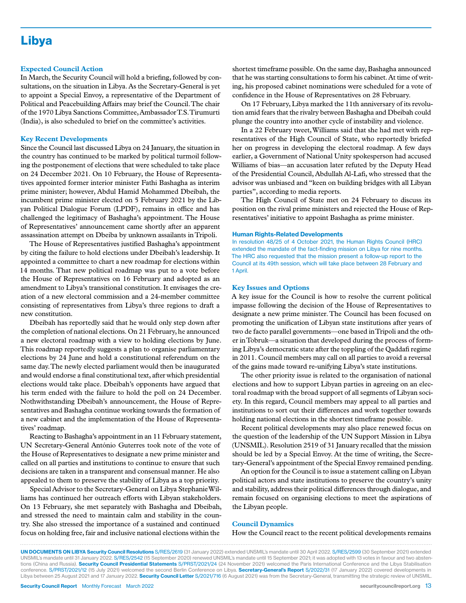# Libya

#### **Expected Council Action**

In March, the Security Council will hold a briefing, followed by consultations, on the situation in Libya. As the Secretary-General is yet to appoint a Special Envoy, a representative of the Department of Political and Peacebuilding Affairs may brief the Council.The chair of the 1970 Libya Sanctions Committee, Ambassador T.S. Tirumurti (India), is also scheduled to brief on the committee's activities.

#### **Key Recent Developments**

Since the Council last discussed Libya on 24 January, the situation in the country has continued to be marked by political turmoil following the postponement of elections that were scheduled to take place on 24 December 2021. On 10 February, the House of Representatives appointed former interior minister Fathi Bashagha as interim prime minister; however, Abdul Hamid Mohammed Dbeibah, the incumbent prime minister elected on 5 February 2021 by the Libyan Political Dialogue Forum (LPDF), remains in office and has challenged the legitimacy of Bashagha's appointment. The House of Representatives' announcement came shortly after an apparent assassination attempt on Dbeiba by unknown assailants in Tripoli.

The House of Representatives justified Bashagha's appointment by citing the failure to hold elections under Dbeibah's leadership. It appointed a committee to chart a new roadmap for elections within 14 months. That new political roadmap was put to a vote before the House of Representatives on 16 February and adopted as an amendment to Libya's transitional constitution. It envisages the creation of a new electoral commission and a 24-member committee consisting of representatives from Libya's three regions to draft a new constitution.

Dbeibah has reportedly said that he would only step down after the completion of national elections. On 21 February, he announced a new electoral roadmap with a view to holding elections by June. This roadmap reportedly suggests a plan to organise parliamentary elections by 24 June and hold a constitutional referendum on the same day. The newly elected parliament would then be inaugurated and would endorse a final constitutional text, after which presidential elections would take place. Dbeibah's opponents have argued that his term ended with the failure to hold the poll on 24 December. Nothwithstanding Dbeibah's announcement, the House of Representatives and Bashagha continue working towards the formation of a new cabinet and the implementation of the House of Representatives' roadmap.

Reacting to Bashagha's appointment in an 11 February statement, UN Secretary-General António Guterres took note of the vote of the House of Representatives to designate a new prime minister and called on all parties and institutions to continue to ensure that such decisions are taken in a transparent and consensual manner. He also appealed to them to preserve the stability of Libya as a top priority.

Special Advisor to the Secretary-General on Libya Stephanie Williams has continued her outreach efforts with Libyan stakeholders. On 13 February, she met separately with Bashagha and Dbeibah, and stressed the need to maintain calm and stability in the country. She also stressed the importance of a sustained and continued focus on holding free, fair and inclusive national elections within the

shortest timeframe possible. On the same day, Bashagha announced that he was starting consultations to form his cabinet. At time of writing, his proposed cabinet nominations were scheduled for a vote of confidence in the House of Representatives on 28 February.

On 17 February, Libya marked the 11th anniversary of its revolution amid fears that the rivalry between Bashagha and Dbeibah could plunge the country into another cycle of instability and violence.

In a 22 February tweet, Williams said that she had met with representatives of the High Council of State, who reportedly briefed her on progress in developing the electoral roadmap. A few days earlier, a Government of National Unity spokesperson had accused Williams of bias—an accusation later refuted by the Deputy Head of the Presidential Council, Abdullah Al-Lafi, who stressed that the advisor was unbiased and "keen on building bridges with all Libyan parties", according to media reports.

The High Council of State met on 24 February to discuss its position on the rival prime ministers and rejected the House of Representatives' initiative to appoint Bashagha as prime minister.

#### Human Rights-Related Developments

In resolution 48/25 of 4 October 2021, the Human Rights Council (HRC) extended the mandate of the fact-finding mission on Libya for nine months. The HRC also requested that the mission present a follow-up report to the Council at its 49th session, which will take place between 28 February and 1 April.

#### **Key Issues and Options**

A key issue for the Council is how to resolve the current political impasse following the decision of the House of Representatives to designate a new prime minister. The Council has been focused on promoting the unification of Libyan state institutions after years of two de facto parallel governments—one based in Tripoli and the other in Tobruk—a situation that developed during the process of forming Libya's democratic state after the toppling of the Qaddafi regime in 2011. Council members may call on all parties to avoid a reversal of the gains made toward re-unifying Libya's state institutions.

The other priority issue is related to the organisation of national elections and how to support Libyan parties in agreeing on an electoral roadmap with the broad support of all segments of Libyan society. In this regard, Council members may appeal to all parties and institutions to sort out their differences and work together towards holding national elections in the shortest timeframe possible.

Recent political developments may also place renewed focus on the question of the leadership of the UN Support Mission in Libya (UNSMIL). Resolution 2519 of 31 January recalled that the mission should be led by a Special Envoy. At the time of writing, the Secretary-General's appointment of the Special Envoy remained pending.

An option for the Council is to issue a statement calling on Libyan political actors and state institutions to preserve the country's unity and stability, address their political differences through dialogue, and remain focused on organising elections to meet the aspirations of the Libyan people.

#### **Council Dynamics**

How the Council react to the recent political developments remains

UN DOCUMENTS ON LIBYA Security Council Resolutions S/RES/2619 (31 January 2022) extended UNSMIL's mandate until 30 April 2022. S/RES/2599 (30 September 2021) extended UNSMIL's mandate until 31 January 2022. S/RES/2542 (15 September 2020) renewed UNSMIL's mandate until 15 September 2021; it was adopted with 13 votes in favour and two abstentions (China and Russia). Security Council Presidential Statements S/PRST/2021/24 (24 November 2021) welcomed the Paris International Conference and the Libya Stabilisation conference. S/PRST/2021/12 (15 July 2021) welcomed the second Berlin Conference on Libya. Secretary-General's Report S/2022/31 (17 January 2022) covered developments in Libya between 25 August 2021 and 17 January 2022. Security Council Letter S/2021/716 (6 August 2021) was from the Secretary-General, transmitting the strategic review of UNSMIL.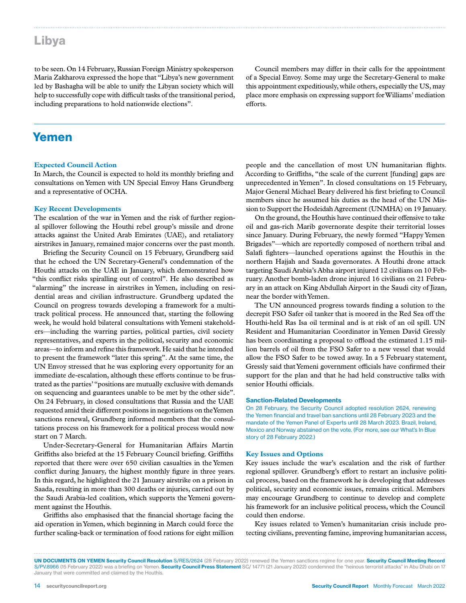# Libya

to be seen. On 14 February, Russian Foreign Ministry spokesperson Maria Zakharova expressed the hope that "Libya's new government led by Bashagha will be able to unify the Libyan society which will help to successfully cope with difficult tasks of the transitional period, including preparations to hold nationwide elections".

Council members may differ in their calls for the appointment of a Special Envoy. Some may urge the Secretary-General to make this appointment expeditiously, while others, especially the US, may place more emphasis on expressing support for Williams' mediation efforts.

### Yemen

#### **Expected Council Action**

In March, the Council is expected to hold its monthly briefing and consultations on Yemen with UN Special Envoy Hans Grundberg and a representative of OCHA.

#### **Key Recent Developments**

The escalation of the war in Yemen and the risk of further regional spillover following the Houthi rebel group's missile and drone attacks against the United Arab Emirates (UAE), and retaliatory airstrikes in January, remained major concerns over the past month.

Briefing the Security Council on 15 February, Grundberg said that he echoed the UN Secretary-General's condemnation of the Houthi attacks on the UAE in January, which demonstrated how "this conflict risks spiralling out of control". He also described as "alarming" the increase in airstrikes in Yemen, including on residential areas and civilian infrastructure. Grundberg updated the Council on progress towards developing a framework for a multitrack political process. He announced that, starting the following week, he would hold bilateral consultations with Yemeni stakeholders—including the warring parties, political parties, civil society representatives, and experts in the political, security and economic areas—to inform and refine this framework. He said that he intended to present the framework "later this spring". At the same time, the UN Envoy stressed that he was exploring every opportunity for an immediate de-escalation, although these efforts continue to be frustrated as the parties' "positions are mutually exclusive with demands on sequencing and guarantees unable to be met by the other side". On 24 February, in closed consultations that Russia and the UAE requested amid their different positions in negotiations on the Yemen sanctions renewal, Grundberg informed members that the consultations process on his framework for a political process would now start on 7 March.

Under-Secretary-General for Humanitarian Affairs Martin Griffiths also briefed at the 15 February Council briefing. Griffiths reported that there were over 650 civilian casualties in the Yemen conflict during January, the highest monthly figure in three years. In this regard, he highlighted the 21 January airstrike on a prison in Saada, resulting in more than 300 deaths or injuries, carried out by the Saudi Arabia-led coalition, which supports the Yemeni government against the Houthis.

Griffiths also emphasised that the financial shortage facing the aid operation in Yemen, which beginning in March could force the further scaling-back or termination of food rations for eight million

people and the cancellation of most UN humanitarian flights. According to Griffiths, "the scale of the current [funding] gaps are unprecedented in Yemen". In closed consultations on 15 February, Major General Michael Beary delivered his first briefing to Council members since he assumed his duties as the head of the UN Mission to Support the Hodeidah Agreement (UNMHA) on 19 January.

On the ground, the Houthis have continued their offensive to take oil and gas-rich Marib governorate despite their territorial losses since January. During February, the newly formed "Happy Yemen Brigades"—which are reportedly composed of northern tribal and Salafi fighters—launched operations against the Houthis in the northern Hajjah and Saada governorates. A Houthi drone attack targeting Saudi Arabia's Abha airport injured 12 civilians on 10 February. Another bomb-laden drone injured 16 civilians on 21 February in an attack on King Abdullah Airport in the Saudi city of Jizan, near the border with Yemen.

The UN announced progress towards finding a solution to the decrepit FSO Safer oil tanker that is moored in the Red Sea off the Houthi-held Ras Isa oil terminal and is at risk of an oil spill. UN Resident and Humanitarian Coordinator in Yemen David Gressly has been coordinating a proposal to offload the estimated 1.15 million barrels of oil from the FSO Safer to a new vessel that would allow the FSO Safer to be towed away. In a 5 February statement, Gressly said that Yemeni government officials have confirmed their support for the plan and that he had held constructive talks with senior Houthi officials.

#### Sanction-Related Developments

On 28 February, the Security Council adopted resolution 2624, renewing the Yemen financial and travel ban sanctions until 28 February 2023 and the mandate of the Yemen Panel of Experts until 28 March 2023. Brazil, Ireland, Mexico and Norway abstained on the vote. (For more, see our What's In Blue story of 28 February 2022.)

#### **Key Issues and Options**

Key issues include the war's escalation and the risk of further regional spillover. Grundberg's effort to restart an inclusive political process, based on the framework he is developing that addresses political, security and economic issues, remains critical. Members may encourage Grundberg to continue to develop and complete his framework for an inclusive political process, which the Council could then endorse.

Key issues related to Yemen's humanitarian crisis include protecting civilians, preventing famine, improving humanitarian access,

UN DOCUMENTS ON YEMEN Security Council Resolution S/RES/2624 (28 February 2022) renewed the Yemen sanctions regime for one year. Security Council Meeting Record S/PV.8966 (15 February 2022) was a briefing on Yemen. Security Council Press Statement SC/ 14771 (21 January 2022) condemned the "heinous terrorist attacks" in Abu Dhabi on 17 January that were committed and claimed by the Houthis.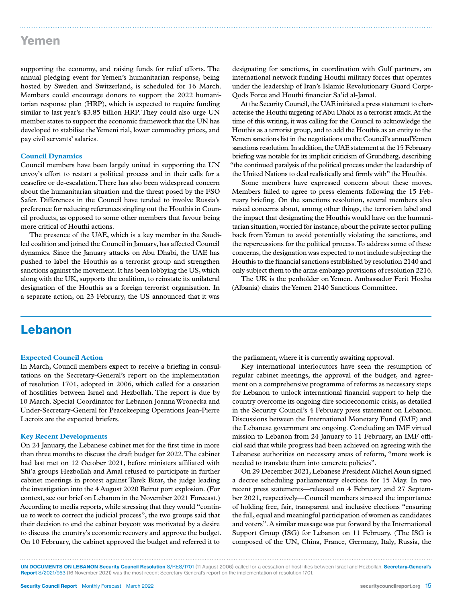### Yemen

supporting the economy, and raising funds for relief efforts. The annual pledging event for Yemen's humanitarian response, being hosted by Sweden and Switzerland, is scheduled for 16 March. Members could encourage donors to support the 2022 humanitarian response plan (HRP), which is expected to require funding similar to last year's \$3.85 billion HRP. They could also urge UN member states to support the economic framework that the UN has developed to stabilise the Yemeni rial, lower commodity prices, and pay civil servants' salaries.

#### **Council Dynamics**

Council members have been largely united in supporting the UN envoy's effort to restart a political process and in their calls for a ceasefire or de-escalation. There has also been widespread concern about the humanitarian situation and the threat posed by the FSO Safer. Differences in the Council have tended to involve Russia's preference for reducing references singling out the Houthis in Council products, as opposed to some other members that favour being more critical of Houthi actions.

The presence of the UAE, which is a key member in the Saudiled coalition and joined the Council in January, has affected Council dynamics. Since the January attacks on Abu Dhabi, the UAE has pushed to label the Houthis as a terrorist group and strengthen sanctions against the movement. It has been lobbying the US, which along with the UK, supports the coalition, to reinstate its unilateral designation of the Houthis as a foreign terrorist organisation. In a separate action, on 23 February, the US announced that it was

designating for sanctions, in coordination with Gulf partners, an international network funding Houthi military forces that operates under the leadership of Iran's Islamic Revolutionary Guard Corps-Qods Force and Houthi financier Sa'id al-Jamal.

At the Security Council, the UAE initiated a press statement to characterise the Houthi targeting of Abu Dhabi as a terrorist attack. At the time of this writing, it was calling for the Council to acknowledge the Houthis as a terrorist group, and to add the Houthis as an entity to the Yemen sanctions list in the negotiations on the Council's annual Yemen sanctions resolution. In addition, the UAE statement at the 15 February briefing was notable for its implicit criticism of Grundberg, describing "the continued paralysis of the political process under the leadership of the United Nations to deal realistically and firmly with" the Houthis.

Some members have expressed concern about these moves. Members failed to agree to press elements following the 15 February briefing. On the sanctions resolution, several members also raised concerns about, among other things, the terrorism label and the impact that designating the Houthis would have on the humanitarian situation, worried for instance, about the private sector pulling back from Yemen to avoid potentially violating the sanctions, and the repercussions for the political process. To address some of these concerns, the designation was expected to not include subjecting the Houthis to the financial sanctions established by resolution 2140 and only subject them to the arms embargo provisions of resolution 2216.

The UK is the penholder on Yemen. Ambassador Ferit Hoxha (Albania) chairs the Yemen 2140 Sanctions Committee.

### Lebanon

#### **Expected Council Action**

In March, Council members expect to receive a briefing in consultations on the Secretary-General's report on the implementation of resolution 1701, adopted in 2006, which called for a cessation of hostilities between Israel and Hezbollah. The report is due by 10 March. Special Coordinator for Lebanon Joanna Wronecka and Under-Secretary-General for Peacekeeping Operations Jean-Pierre Lacroix are the expected briefers.

#### **Key Recent Developments**

On 24 January, the Lebanese cabinet met for the first time in more than three months to discuss the draft budget for 2022. The cabinet had last met on 12 October 2021, before ministers affiliated with Shi'a groups Hezbollah and Amal refused to participate in further cabinet meetings in protest against Tarek Bitar, the judge leading the investigation into the 4 August 2020 Beirut port explosion. (For context, see our brief on Lebanon in the November 2021 Forecast.) According to media reports, while stressing that they would "continue to work to correct the judicial process", the two groups said that their decision to end the cabinet boycott was motivated by a desire to discuss the country's economic recovery and approve the budget. On 10 February, the cabinet approved the budget and referred it to

the parliament, where it is currently awaiting approval.

Key international interlocutors have seen the resumption of regular cabinet meetings, the approval of the budget, and agreement on a comprehensive programme of reforms as necessary steps for Lebanon to unlock international financial support to help the country overcome its ongoing dire socioeconomic crisis, as detailed in the Security Council's 4 February press statement on Lebanon. Discussions between the International Monetary Fund (IMF) and the Lebanese government are ongoing. Concluding an IMF virtual mission to Lebanon from 24 January to 11 February, an IMF official said that while progress had been achieved on agreeing with the Lebanese authorities on necessary areas of reform, "more work is needed to translate them into concrete policies".

On 29 December 2021, Lebanese President Michel Aoun signed a decree scheduling parliamentary elections for 15 May. In two recent press statements—released on 4 February and 27 September 2021, respectively—Council members stressed the importance of holding free, fair, transparent and inclusive elections "ensuring the full, equal and meaningful participation of women as candidates and voters". A similar message was put forward by the International Support Group (ISG) for Lebanon on 11 February. (The ISG is composed of the UN, China, France, Germany, Italy, Russia, the

UN DOCUMENTS ON LEBANON Security Council Resolution S/RES/1701 (11 August 2006) called for a cessation of hostilities between Israel and Hezbollah. Secretary-General's Report S/2021/953 (16 November 2021) was the most recent Secretary-General's report on the implementation of resolution 1701.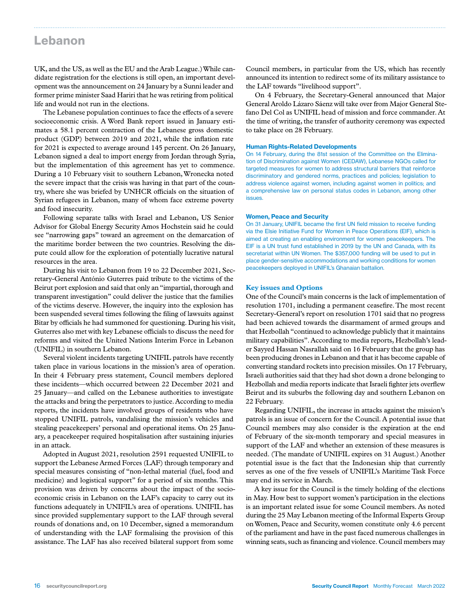### Lebanon

UK, and the US, as well as the EU and the Arab League.) While candidate registration for the elections is still open, an important development was the announcement on 24 January by a Sunni leader and former prime minister Saad Hariri that he was retiring from political life and would not run in the elections.

The Lebanese population continues to face the effects of a severe socioeconomic crisis. A Word Bank report issued in January estimates a 58.1 percent contraction of the Lebanese gross domestic product (GDP) between 2019 and 2021, while the inflation rate for 2021 is expected to average around 145 percent. On 26 January, Lebanon signed a deal to import energy from Jordan through Syria, but the implementation of this agreement has yet to commence. During a 10 February visit to southern Lebanon, Wronecka noted the severe impact that the crisis was having in that part of the country, where she was briefed by UNHCR officials on the situation of Syrian refugees in Lebanon, many of whom face extreme poverty and food insecurity.

Following separate talks with Israel and Lebanon, US Senior Advisor for Global Energy Security Amos Hochstein said he could see "narrowing gaps" toward an agreement on the demarcation of the maritime border between the two countries. Resolving the dispute could allow for the exploration of potentially lucrative natural resources in the area.

During his visit to Lebanon from 19 to 22 December 2021, Secretary-General António Guterres paid tribute to the victims of the Beirut port explosion and said that only an "impartial, thorough and transparent investigation" could deliver the justice that the families of the victims deserve. However, the inquiry into the explosion has been suspended several times following the filing of lawsuits against Bitar by officials he had summoned for questioning. During his visit, Guterres also met with key Lebanese officials to discuss the need for reforms and visited the United Nations Interim Force in Lebanon (UNIFIL) in southern Lebanon.

Several violent incidents targeting UNIFIL patrols have recently taken place in various locations in the mission's area of operation. In their 4 February press statement, Council members deplored these incidents—which occurred between 22 December 2021 and 25 January—and called on the Lebanese authorities to investigate the attacks and bring the perpetrators to justice. According to media reports, the incidents have involved groups of residents who have stopped UNIFIL patrols, vandalising the mission's vehicles and stealing peacekeepers' personal and operational items. On 25 January, a peacekeeper required hospitalisation after sustaining injuries in an attack.

Adopted in August 2021, resolution 2591 requested UNIFIL to support the Lebanese Armed Forces (LAF) through temporary and special measures consisting of "non-lethal material (fuel, food and medicine) and logistical support" for a period of six months. This provision was driven by concerns about the impact of the socioeconomic crisis in Lebanon on the LAF's capacity to carry out its functions adequately in UNIFIL's area of operations. UNIFIL has since provided supplementary support to the LAF through several rounds of donations and, on 10 December, signed a memorandum of understanding with the LAF formalising the provision of this assistance. The LAF has also received bilateral support from some

Council members, in particular from the US, which has recently announced its intention to redirect some of its military assistance to the LAF towards "livelihood support".

On 4 February, the Secretary-General announced that Major General Aroldo Lázaro Sáenz will take over from Major General Stefano Del Col as UNIFIL head of mission and force commander. At the time of writing, the transfer of authority ceremony was expected to take place on 28 February.

#### Human Rights-Related Developments

On 14 February, during the 81st session of the Committee on the Elimination of Discrimination against Women (CEDAW), Lebanese NGOs called for targeted measures for women to address structural barriers that reinforce discriminatory and gendered norms, practices and policies; legislation to address violence against women, including against women in politics; and a comprehensive law on personal status codes in Lebanon, among other issues.

#### Women, Peace and Security

On 31 January, UNIFIL became the first UN field mission to receive funding via the Elsie Initiative Fund for Women in Peace Operations (EIF), which is aimed at creating an enabling environment for women peacekeepers. The EIF is a UN trust fund established in 2019 by the UN and Canada, with its secretariat within UN Women. The \$357,000 funding will be used to put in place gender-sensitive accommodations and working conditions for women peacekeepers deployed in UNIFIL's Ghanaian battalion.

### **Key issues and Options**

One of the Council's main concerns is the lack of implementation of resolution 1701, including a permanent ceasefire. The most recent Secretary-General's report on resolution 1701 said that no progress had been achieved towards the disarmament of armed groups and that Hezbollah "continued to acknowledge publicly that it maintains military capabilities". According to media reports, Hezbollah's leader Sayyed Hassan Nasrallah said on 16 February that the group has been producing drones in Lebanon and that it has become capable of converting standard rockets into precision missiles. On 17 February, Israeli authorities said that they had shot down a drone belonging to Hezbollah and media reports indicate that Israeli fighter jets overflew Beirut and its suburbs the following day and southern Lebanon on 22 February.

Regarding UNIFIL, the increase in attacks against the mission's patrols is an issue of concern for the Council. A potential issue that Council members may also consider is the expiration at the end of February of the six-month temporary and special measures in support of the LAF and whether an extension of these measures is needed. (The mandate of UNIFIL expires on 31 August.) Another potential issue is the fact that the Indonesian ship that currently serves as one of the five vessels of UNIFIL's Maritime Task Force may end its service in March.

A key issue for the Council is the timely holding of the elections in May. How best to support women's participation in the elections is an important related issue for some Council members. As noted during the 25 May Lebanon meeting of the Informal Experts Group on Women, Peace and Security, women constitute only 4.6 percent of the parliament and have in the past faced numerous challenges in winning seats, such as financing and violence. Council members may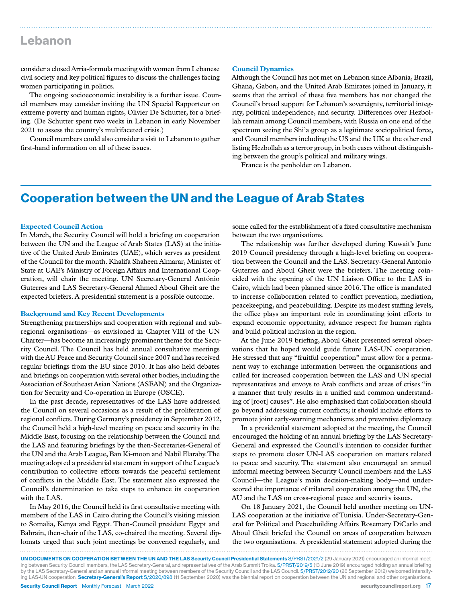### Lebanon

consider a closed Arria-formula meeting with women from Lebanese civil society and key political figures to discuss the challenges facing women participating in politics.

The ongoing socioeconomic instability is a further issue. Council members may consider inviting the UN Special Rapporteur on extreme poverty and human rights, Olivier De Schutter, for a briefing. (De Schutter spent two weeks in Lebanon in early November 2021 to assess the country's multifaceted crisis.)

Council members could also consider a visit to Lebanon to gather first-hand information on all of these issues.

#### **Council Dynamics**

Although the Council has not met on Lebanon since Albania, Brazil, Ghana, Gabon, and the United Arab Emirates joined in January, it seems that the arrival of these five members has not changed the Council's broad support for Lebanon's sovereignty, territorial integrity, political independence, and security. Differences over Hezbollah remain among Council members, with Russia on one end of the spectrum seeing the Shi'a group as a legitimate sociopolitical force, and Council members including the US and the UK at the other end listing Hezbollah as a terror group, in both cases without distinguishing between the group's political and military wings.

France is the penholder on Lebanon.

### Cooperation between the UN and the League of Arab States

### **Expected Council Action**

In March, the Security Council will hold a briefing on cooperation between the UN and the League of Arab States (LAS) at the initiative of the United Arab Emirates (UAE), which serves as president of the Council for the month. Khalifa Shaheen Almarar, Minister of State at UAE's Ministry of Foreign Affairs and International Cooperation, will chair the meeting. UN Secretary-General António Guterres and LAS Secretary-General Ahmed Aboul Gheit are the expected briefers. A presidential statement is a possible outcome.

#### **Background and Key Recent Developments**

Strengthening partnerships and cooperation with regional and subregional organisations—as envisioned in Chapter VIII of the UN Charter—has become an increasingly prominent theme for the Security Council. The Council has held annual consultative meetings with the AU Peace and Security Council since 2007 and has received regular briefings from the EU since 2010. It has also held debates and briefings on cooperation with several other bodies, including the Association of Southeast Asian Nations (ASEAN) and the Organization for Security and Co-operation in Europe (OSCE).

In the past decade, representatives of the LAS have addressed the Council on several occasions as a result of the proliferation of regional conflicts. During Germany's presidency in September 2012, the Council held a high-level meeting on peace and security in the Middle East, focusing on the relationship between the Council and the LAS and featuring briefings by the then-Secretaries-General of the UN and the Arab League, Ban Ki-moon and Nabil Elaraby. The meeting adopted a presidential statement in support of the League's contribution to collective efforts towards the peaceful settlement of conflicts in the Middle East. The statement also expressed the Council's determination to take steps to enhance its cooperation with the LAS.

In May 2016, the Council held its first consultative meeting with members of the LAS in Cairo during the Council's visiting mission to Somalia, Kenya and Egypt. Then-Council president Egypt and Bahrain, then-chair of the LAS, co-chaired the meeting. Several diplomats urged that such joint meetings be convened regularly, and

some called for the establishment of a fixed consultative mechanism between the two organisations.

The relationship was further developed during Kuwait's June 2019 Council presidency through a high-level briefing on cooperation between the Council and the LAS. Secretary-General António Guterres and Aboul Gheit were the briefers. The meeting coincided with the opening of the UN Liaison Office to the LAS in Cairo, which had been planned since 2016. The office is mandated to increase collaboration related to conflict prevention, mediation, peacekeeping, and peacebuilding. Despite its modest staffing levels, the office plays an important role in coordinating joint efforts to expand economic opportunity, advance respect for human rights and build political inclusion in the region.

At the June 2019 briefing, Aboul Gheit presented several observations that he hoped would guide future LAS-UN cooperation. He stressed that any "fruitful cooperation" must allow for a permanent way to exchange information between the organisations and called for increased cooperation between the LAS and UN special representatives and envoys to Arab conflicts and areas of crises "in a manner that truly results in a unified and common understanding of [root] causes". He also emphasised that collaboration should go beyond addressing current conflicts; it should include efforts to promote joint early-warning mechanisms and preventive diplomacy.

In a presidential statement adopted at the meeting, the Council encouraged the holding of an annual briefing by the LAS Secretary-General and expressed the Council's intention to consider further steps to promote closer UN-LAS cooperation on matters related to peace and security. The statement also encouraged an annual informal meeting between Security Council members and the LAS Council—the League's main decision-making body—and underscored the importance of trilateral cooperation among the UN, the AU and the LAS on cross-regional peace and security issues.

On 18 January 2021, the Council held another meeting on UN-LAS cooperation at the initiative of Tunisia. Under-Secretary-General for Political and Peacebuilding Affairs Rosemary DiCarlo and Aboul Gheit briefed the Council on areas of cooperation between the two organisations. A presidential statement adopted during the

Security Council Report Monthly Forecast March 2022 security council report.org 17 UN DOCUMENTS ON COOPERATION BETWEEN THE UN AND THE LAS Security Council Presidential Statements S/PRST/2021/2 (29 January 2021) encouraged an informal meeting between Security Council members, the LAS Secretary-General, and representatives of the Arab Summit Troika. S/PRST/2019/5 (13 June 2019) encouraged holding an annual briefing by the LAS Secretary-General and an annual informal meeting between members of the Security Council and the LAS Council. S/PRST/2012/20 (26 September 2012) welcomed intensifying LAS-UN cooperation. Secretary-General's Report S/2020/898 (11 September 2020) was the biennial report on cooperation between the UN and regional and other organisations.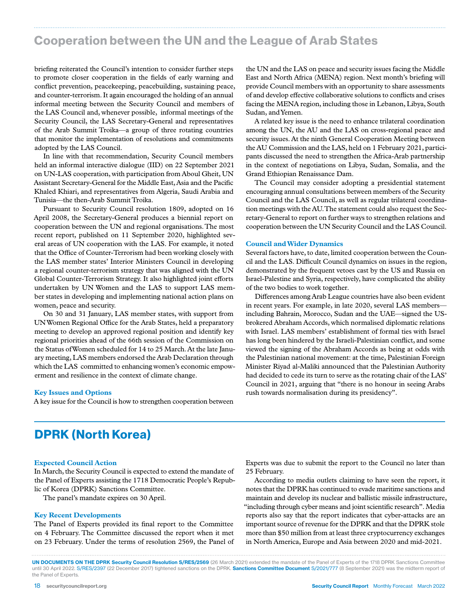# Cooperation between the UN and the League of Arab States

briefing reiterated the Council's intention to consider further steps to promote closer cooperation in the fields of early warning and conflict prevention, peacekeeping, peacebuilding, sustaining peace, and counter-terrorism. It again encouraged the holding of an annual informal meeting between the Security Council and members of the LAS Council and, whenever possible, informal meetings of the Security Council, the LAS Secretary-General and representatives of the Arab Summit Troika—a group of three rotating countries that monitor the implementation of resolutions and commitments adopted by the LAS Council.

In line with that recommendation, Security Council members held an informal interactive dialogue (IID) on 22 September 2021 on UN-LAS cooperation, with participation from Aboul Gheit, UN Assistant Secretary-General for the Middle East, Asia and the Pacific Khaled Khiari, and representatives from Algeria, Saudi Arabia and Tunisia—the then-Arab Summit Troika.

Pursuant to Security Council resolution 1809, adopted on 16 April 2008, the Secretary-General produces a biennial report on cooperation between the UN and regional organisations. The most recent report, published on 11 September 2020, highlighted several areas of UN cooperation with the LAS. For example, it noted that the Office of Counter-Terrorism had been working closely with the LAS member states' Interior Ministers Council in developing a regional counter-terrorism strategy that was aligned with the UN Global Counter-Terrorism Strategy. It also highlighted joint efforts undertaken by UN Women and the LAS to support LAS member states in developing and implementing national action plans on women, peace and security.

On 30 and 31 January, LAS member states, with support from UN Women Regional Office for the Arab States, held a preparatory meeting to develop an approved regional position and identify key regional priorities ahead of the 66th session of the Commission on the Status of Women scheduled for 14 to 25 March. At the late January meeting, LAS members endorsed the Arab Declaration through which the LAS committed to enhancing women's economic empowerment and resilience in the context of climate change.

#### **Key Issues and Options**

A key issue for the Council is how to strengthen cooperation between

the UN and the LAS on peace and security issues facing the Middle East and North Africa (MENA) region. Next month's briefing will provide Council members with an opportunity to share assessments of and develop effective collaborative solutions to conflicts and crises facing the MENA region, including those in Lebanon, Libya, South Sudan, and Yemen.

A related key issue is the need to enhance trilateral coordination among the UN, the AU and the LAS on cross-regional peace and security issues. At the ninth General Cooperation Meeting between the AU Commission and the LAS, held on 1 February 2021, participants discussed the need to strengthen the Africa-Arab partnership in the context of negotiations on Libya, Sudan, Somalia, and the Grand Ethiopian Renaissance Dam.

The Council may consider adopting a presidential statement encouraging annual consultations between members of the Security Council and the LAS Council, as well as regular trilateral coordination meetings with the AU. The statement could also request the Secretary-General to report on further ways to strengthen relations and cooperation between the UN Security Council and the LAS Council.

#### **Council and Wider Dynamics**

Several factors have, to date, limited cooperation between the Council and the LAS. Difficult Council dynamics on issues in the region, demonstrated by the frequent vetoes cast by the US and Russia on Israel-Palestine and Syria, respectively, have complicated the ability of the two bodies to work together.

Differences among Arab League countries have also been evident in recent years. For example, in late 2020, several LAS members including Bahrain, Morocco, Sudan and the UAE—signed the USbrokered Abraham Accords, which normalised diplomatic relations with Israel. LAS members' establishment of formal ties with Israel has long been hindered by the Israeli-Palestinian conflict, and some viewed the signing of the Abraham Accords as being at odds with the Palestinian national movement: at the time, Palestinian Foreign Minister Riyad al-Maliki announced that the Palestinian Authority had decided to cede its turn to serve as the rotating chair of the LAS' Council in 2021, arguing that "there is no honour in seeing Arabs rush towards normalisation during its presidency".

# DPRK (North Korea)

#### **Expected Council Action**

In March, the Security Council is expected to extend the mandate of the Panel of Experts assisting the 1718 Democratic People's Republic of Korea (DPRK) Sanctions Committee.

The panel's mandate expires on 30 April.

#### **Key Recent Developments**

The Panel of Experts provided its final report to the Committee on 4 February. The Committee discussed the report when it met on 23 February. Under the terms of resolution 2569, the Panel of Experts was due to submit the report to the Council no later than 25 February.

According to media outlets claiming to have seen the report, it notes that the DPRK has continued to evade maritime sanctions and maintain and develop its nuclear and ballistic missile infrastructure, "including through cyber means and joint scientific research". Media reports also say that the report indicates that cyber-attacks are an important source of revenue for the DPRK and that the DPRK stole more than \$50 million from at least three cryptocurrency exchanges in North America, Europe and Asia between 2020 and mid-2021.

UN DOCUMENTS ON THE DPRK Security Council Resolution S/RES/2569 (26 March 2021) extended the mandate of the Panel of Experts of the 1718 DPRK Sanctions Committee until 30 April 2022. S/RES/2397 (22 December 2017) tightened sanctions on the DPRK. Sanctions Committee Document S/2021/777 (8 September 2021) was the midterm report of the Panel of Experts.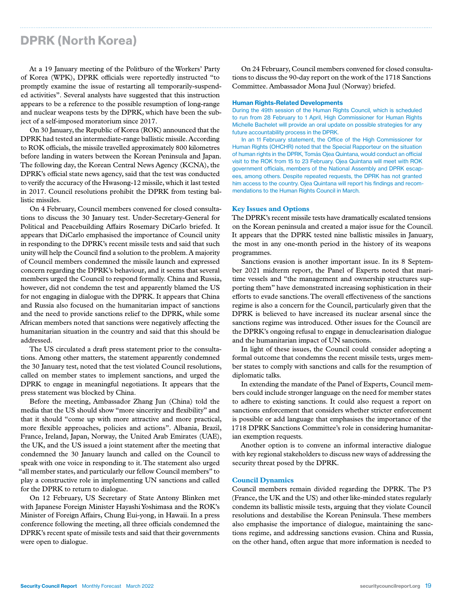# DPRK (North Korea)

At a 19 January meeting of the Politburo of the Workers' Party of Korea (WPK), DPRK officials were reportedly instructed "to promptly examine the issue of restarting all temporarily-suspended activities". Several analysts have suggested that this instruction appears to be a reference to the possible resumption of long-range and nuclear weapons tests by the DPRK, which have been the subject of a self-imposed moratorium since 2017.

On 30 January, the Republic of Korea (ROK) announced that the DPRK had tested an intermediate-range ballistic missile. According to ROK officials, the missile travelled approximately 800 kilometres before landing in waters between the Korean Peninsula and Japan. The following day, the Korean Central News Agency (KCNA), the DPRK's official state news agency, said that the test was conducted to verify the accuracy of the Hwasong-12 missile, which it last tested in 2017. Council resolutions prohibit the DPRK from testing ballistic missiles.

On 4 February, Council members convened for closed consultations to discuss the 30 January test. Under-Secretary-General for Political and Peacebuilding Affairs Rosemary DiCarlo briefed. It appears that DiCarlo emphasised the importance of Council unity in responding to the DPRK's recent missile tests and said that such unity will help the Council find a solution to the problem. A majority of Council members condemned the missile launch and expressed concern regarding the DPRK's behaviour, and it seems that several members urged the Council to respond formally. China and Russia, however, did not condemn the test and apparently blamed the US for not engaging in dialogue with the DPRK. It appears that China and Russia also focused on the humanitarian impact of sanctions and the need to provide sanctions relief to the DPRK, while some African members noted that sanctions were negatively affecting the humanitarian situation in the country and said that this should be addressed.

The US circulated a draft press statement prior to the consultations. Among other matters, the statement apparently condemned the 30 January test, noted that the test violated Council resolutions, called on member states to implement sanctions, and urged the DPRK to engage in meaningful negotiations. It appears that the press statement was blocked by China.

Before the meeting, Ambassador Zhang Jun (China) told the media that the US should show "more sincerity and flexibility" and that it should "come up with more attractive and more practical, more flexible approaches, policies and actions". Albania, Brazil, France, Ireland, Japan, Norway, the United Arab Emirates (UAE), the UK, and the US issued a joint statement after the meeting that condemned the 30 January launch and called on the Council to speak with one voice in responding to it. The statement also urged "all member states, and particularly our fellow Council members" to play a constructive role in implementing UN sanctions and called for the DPRK to return to dialogue.

On 12 February, US Secretary of State Antony Blinken met with Japanese Foreign Minister Hayashi Yoshimasa and the ROK's Minister of Foreign Affairs, Chung Eui-yong, in Hawaii. In a press conference following the meeting, all three officials condemned the DPRK's recent spate of missile tests and said that their governments were open to dialogue.

On 24 February, Council members convened for closed consultations to discuss the 90-day report on the work of the 1718 Sanctions Committee. Ambassador Mona Juul (Norway) briefed.

#### Human Rights-Related Developments

During the 49th session of the Human Rights Council, which is scheduled to run from 28 February to 1 April, High Commissioner for Human Rights Michelle Bachelet will provide an oral update on possible strategies for any future accountability process in the DPRK.

In an 11 February statement, the Office of the High Commissioner for Human Rights (OHCHR) noted that the Special Rapporteur on the situation of human rights in the DPRK, Tomás Ojea Quintana, would conduct an official visit to the ROK from 15 to 23 February. Ojea Quintana will meet with ROK government officials, members of the National Assembly and DPRK escapees, among others. Despite repeated requests, the DPRK has not granted him access to the country. Ojea Quintana will report his findings and recommendations to the Human Rights Council in March.

#### **Key Issues and Options**

The DPRK's recent missile tests have dramatically escalated tensions on the Korean peninsula and created a major issue for the Council. It appears that the DPRK tested nine ballistic missiles in January, the most in any one-month period in the history of its weapons programmes.

Sanctions evasion is another important issue. In its 8 September 2021 midterm report, the Panel of Experts noted that maritime vessels and "the management and ownership structures supporting them" have demonstrated increasing sophistication in their efforts to evade sanctions. The overall effectiveness of the sanctions regime is also a concern for the Council, particularly given that the DPRK is believed to have increased its nuclear arsenal since the sanctions regime was introduced. Other issues for the Council are the DPRK's ongoing refusal to engage in denuclearisation dialogue and the humanitarian impact of UN sanctions.

In light of these issues, the Council could consider adopting a formal outcome that condemns the recent missile tests, urges member states to comply with sanctions and calls for the resumption of diplomatic talks.

In extending the mandate of the Panel of Experts, Council members could include stronger language on the need for member states to adhere to existing sanctions. It could also request a report on sanctions enforcement that considers whether stricter enforcement is possible or add language that emphasises the importance of the 1718 DPRK Sanctions Committee's role in considering humanitarian exemption requests.

Another option is to convene an informal interactive dialogue with key regional stakeholders to discuss new ways of addressing the security threat posed by the DPRK.

#### **Council Dynamics**

Council members remain divided regarding the DPRK. The P3 (France, the UK and the US) and other like-minded states regularly condemn its ballistic missile tests, arguing that they violate Council resolutions and destabilise the Korean Peninsula. These members also emphasise the importance of dialogue, maintaining the sanctions regime, and addressing sanctions evasion. China and Russia, on the other hand, often argue that more information is needed to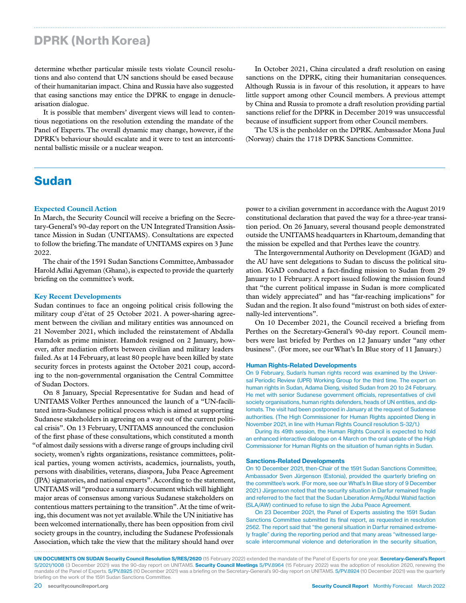# DPRK (North Korea)

determine whether particular missile tests violate Council resolutions and also contend that UN sanctions should be eased because of their humanitarian impact. China and Russia have also suggested that easing sanctions may entice the DPRK to engage in denuclearisation dialogue.

It is possible that members' divergent views will lead to contentious negotiations on the resolution extending the mandate of the Panel of Experts. The overall dynamic may change, however, if the DPRK's behaviour should escalate and it were to test an intercontinental ballistic missile or a nuclear weapon.

### Sudan

### **Expected Council Action**

In March, the Security Council will receive a briefing on the Secretary-General's 90-day report on the UN Integrated Transition Assistance Mission in Sudan (UNITAMS). Consultations are expected to follow the briefing. The mandate of UNITAMS expires on 3 June 2022.

The chair of the 1591 Sudan Sanctions Committee, Ambassador Harold Adlai Agyeman (Ghana), is expected to provide the quarterly briefing on the committee's work.

#### **Key Recent Developments**

Sudan continues to face an ongoing political crisis following the military coup d'état of 25 October 2021. A power-sharing agreement between the civilian and military entities was announced on 21 November 2021, which included the reinstatement of Abdalla Hamdok as prime minister. Hamdok resigned on 2 January, however, after mediation efforts between civilian and military leaders failed. As at 14 February, at least 80 people have been killed by state security forces in protests against the October 2021 coup, according to the non-governmental organisation the Central Committee of Sudan Doctors.

On 8 January, Special Representative for Sudan and head of UNITAMS Volker Perthes announced the launch of a "UN-facilitated intra-Sudanese political process which is aimed at supporting Sudanese stakeholders in agreeing on a way out of the current political crisis". On 13 February, UNITAMS announced the conclusion of the first phase of these consultations, which constituted a month "of almost daily sessions with a diverse range of groups including civil society, women's rights organizations, resistance committees, political parties, young women activists, academics, journalists, youth, persons with disabilities, veterans, diaspora, Juba Peace Agreement (JPA) signatories, and national experts". According to the statement, UNITAMS will "produce a summary document which will highlight major areas of consensus among various Sudanese stakeholders on contentious matters pertaining to the transition". At the time of writing, this document was not yet available. While the UN initiative has been welcomed internationally, there has been opposition from civil society groups in the country, including the Sudanese Professionals Association, which take the view that the military should hand over

In October 2021, China circulated a draft resolution on easing sanctions on the DPRK, citing their humanitarian consequences. Although Russia is in favour of this resolution, it appears to have little support among other Council members. A previous attempt by China and Russia to promote a draft resolution providing partial sanctions relief for the DPRK in December 2019 was unsuccessful because of insufficient support from other Council members.

The US is the penholder on the DPRK. Ambassador Mona Juul (Norway) chairs the 1718 DPRK Sanctions Committee.

power to a civilian government in accordance with the August 2019 constitutional declaration that paved the way for a three-year transition period. On 26 January, several thousand people demonstrated outside the UNITAMS headquarters in Khartoum, demanding that the mission be expelled and that Perthes leave the country.

The Intergovernmental Authority on Development (IGAD) and the AU have sent delegations to Sudan to discuss the political situation. IGAD conducted a fact-finding mission to Sudan from 29 January to 1 February. A report issued following the mission found that "the current political impasse in Sudan is more complicated than widely appreciated" and has "far-reaching implications" for Sudan and the region. It also found "mistrust on both sides of externally-led interventions".

On 10 December 2021, the Council received a briefing from Perthes on the Secretary-General's 90-day report. Council members were last briefed by Perthes on 12 January under "any other business". (For more, see our What's In Blue story of 11 January.)

#### Human Rights-Related Developments

On 9 February, Sudan's human rights record was examined by the Universal Periodic Review (UPR) Working Group for the third time. The expert on human rights in Sudan, Adama Dieng, visited Sudan from 20 to 24 February. He met with senior Sudanese government officials, representatives of civil society organisations, human rights defenders, heads of UN entities, and diplomats. The visit had been postponed in January at the request of Sudanese authorities. (The High Commissioner for Human Rights appointed Dieng in November 2021, in line with Human Rights Council resolution S-32/1.)

During its 49th session, the Human Rights Council is expected to hold an enhanced interactive dialogue on 4 March on the oral update of the High Commissioner for Human Rights on the situation of human rights in Sudan.

#### Sanctions-Related Developments

On 10 December 2021, then-Chair of the 1591 Sudan Sanctions Committee, Ambassador Sven Jürgenson (Estonia), provided the quarterly briefing on the committee's work. (For more, see our What's In Blue story of 9 December 2021.) Jürgenson noted that the security situation in Darfur remained fragile and referred to the fact that the Sudan Liberation Army/Abdul Wahid faction (SLA/AW) continued to refuse to sign the Juba Peace Agreement.

On 23 December 2021, the Panel of Experts assisting the 1591 Sudan Sanctions Committee submitted its final report, as requested in resolution 2562. The report said that "the general situation in Darfur remained extremely fragile" during the reporting period and that many areas "witnessed largescale intercommunal violence and deterioration in the security situation,

UN DOCUMENTS ON SUDAN Security Council Resolution S/RES/2620 (15 February 2022) extended the mandate of the Panel of Experts for one year. Secretary-General's Report S/2021/1008 (3 December 2021) was the 90-day report on UNITAMS. Security Council Meetings S/PV.8964 (15 February 2022) was the adoption of resolution 2620, renewing the mandate of the Panel of Experts. S/PV.8925 (10 December 2021) was a briefing on the Secretary-General's 90-day report on UNITAMS. S/PV.8924 (10 December 2021) was the quarterly briefing on the work of the 1591 Sudan Sanctions Committee.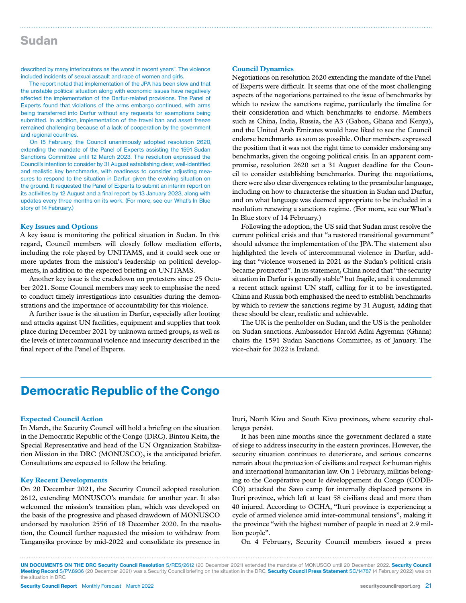### Sudan

described by many interlocutors as the worst in recent years". The violence included incidents of sexual assault and rape of women and girls.

The report noted that implementation of the JPA has been slow and that the unstable political situation along with economic issues have negatively affected the implementation of the Darfur-related provisions. The Panel of Experts found that violations of the arms embargo continued, with arms being transferred into Darfur without any requests for exemptions being submitted. In addition, implementation of the travel ban and asset freeze remained challenging because of a lack of cooperation by the government and regional countries.

On 15 February, the Council unanimously adopted resolution 2620, extending the mandate of the Panel of Experts assisting the 1591 Sudan Sanctions Committee until 12 March 2023. The resolution expressed the Council's intention to consider by 31 August establishing clear, well-identified and realistic key benchmarks, with readiness to consider adjusting measures to respond to the situation in Darfur, given the evolving situation on the ground. It requested the Panel of Experts to submit an interim report on its activities by 12 August and a final report by 13 January 2023, along with updates every three months on its work. (For more, see our What's In Blue story of 14 February.)

#### **Key Issues and Options**

A key issue is monitoring the political situation in Sudan. In this regard, Council members will closely follow mediation efforts, including the role played by UNITAMS, and it could seek one or more updates from the mission's leadership on political developments, in addition to the expected briefing on UNITAMS.

Another key issue is the crackdown on protesters since 25 October 2021. Some Council members may seek to emphasise the need to conduct timely investigations into casualties during the demonstrations and the importance of accountability for this violence.

A further issue is the situation in Darfur, especially after looting and attacks against UN facilities, equipment and supplies that took place during December 2021 by unknown armed groups, as well as the levels of intercommunal violence and insecurity described in the final report of the Panel of Experts.

#### **Council Dynamics**

Negotiations on resolution 2620 extending the mandate of the Panel of Experts were difficult. It seems that one of the most challenging aspects of the negotiations pertained to the issue of benchmarks by which to review the sanctions regime, particularly the timeline for their consideration and which benchmarks to endorse. Members such as China, India, Russia, the A3 (Gabon, Ghana and Kenya), and the United Arab Emirates would have liked to see the Council endorse benchmarks as soon as possible. Other members expressed the position that it was not the right time to consider endorsing any benchmarks, given the ongoing political crisis. In an apparent compromise, resolution 2620 set a 31 August deadline for the Council to consider establishing benchmarks. During the negotiations, there were also clear divergences relating to the preambular language, including on how to characterise the situation in Sudan and Darfur, and on what language was deemed appropriate to be included in a resolution renewing a sanctions regime. (For more, see our What's In Blue story of 14 February.)

Following the adoption, the US said that Sudan must resolve the current political crisis and that "a restored transitional government" should advance the implementation of the JPA. The statement also highlighted the levels of intercommunal violence in Darfur, adding that "violence worsened in 2021 as the Sudan's political crisis became protracted". In its statement, China noted that "the security situation in Darfur is generally stable" but fragile, and it condemned a recent attack against UN staff, calling for it to be investigated. China and Russia both emphasised the need to establish benchmarks by which to review the sanctions regime by 31 August, adding that these should be clear, realistic and achievable.

The UK is the penholder on Sudan, and the US is the penholder on Sudan sanctions. Ambassador Harold Adlai Agyeman (Ghana) chairs the 1591 Sudan Sanctions Committee, as of January. The vice-chair for 2022 is Ireland.

# Democratic Republic of the Congo

### **Expected Council Action**

In March, the Security Council will hold a briefing on the situation in the Democratic Republic of the Congo (DRC). Bintou Keita, the Special Representative and head of the UN Organization Stabilization Mission in the DRC (MONUSCO), is the anticipated briefer. Consultations are expected to follow the briefing.

### **Key Recent Developments**

On 20 December 2021, the Security Council adopted resolution 2612, extending MONUSCO's mandate for another year. It also welcomed the mission's transition plan, which was developed on the basis of the progressive and phased drawdown of MONUSCO endorsed by resolution 2556 of 18 December 2020. In the resolution, the Council further requested the mission to withdraw from Tanganyika province by mid-2022 and consolidate its presence in

Ituri, North Kivu and South Kivu provinces, where security challenges persist.

It has been nine months since the government declared a state of siege to address insecurity in the eastern provinces. However, the security situation continues to deteriorate, and serious concerns remain about the protection of civilians and respect for human rights and international humanitarian law. On 1 February, militias belonging to the Coopérative pour le développement du Congo (CODE-CO) attacked the Savo camp for internally displaced persons in Ituri province, which left at least 58 civilians dead and more than 40 injured. According to OCHA, "Ituri province is experiencing a cycle of armed violence amid inter-communal tensions", making it the province "with the highest number of people in need at 2.9 million people".

On 4 February, Security Council members issued a press

UN DOCUMENTS ON THE DRC Security Council Resolution S/RES/2612 (20 December 2021) extended the mandate of MONUSCO until 20 December 2022. Security Council Meeting Record S/PV.8936 (20 December 2021) was a Security Council briefing on the situation in the DRC. Security Council Press Statement SC/14787 (4 February 2022) was on the situation in DRC.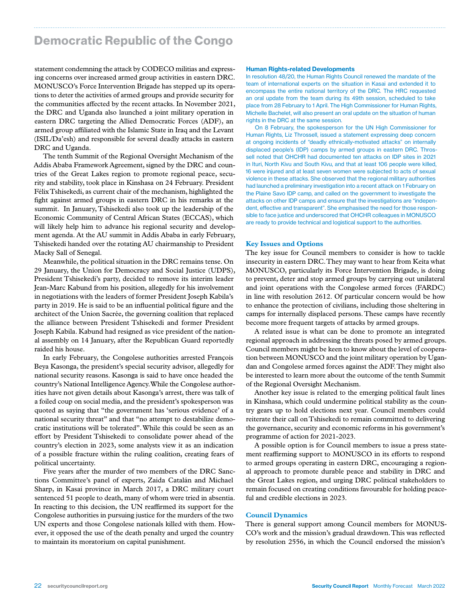# Democratic Republic of the Congo

statement condemning the attack by CODECO militias and expressing concerns over increased armed group activities in eastern DRC. MONUSCO's Force Intervention Brigade has stepped up its operations to deter the activities of armed groups and provide security for the communities affected by the recent attacks. In November 2021, the DRC and Uganda also launched a joint military operation in eastern DRC targeting the Allied Democratic Forces (ADF), an armed group affiliated with the Islamic State in Iraq and the Levant (ISIL/Da'esh) and responsible for several deadly attacks in eastern DRC and Uganda.

The tenth Summit of the Regional Oversight Mechanism of the Addis Ababa Framework Agreement, signed by the DRC and countries of the Great Lakes region to promote regional peace, security and stability, took place in Kinshasa on 24 February. President FélixTshisekedi, as current chair of the mechanism, highlighted the fight against armed groups in eastern DRC in his remarks at the summit. In January, Tshisekedi also took up the leadership of the Economic Community of Central African States (ECCAS), which will likely help him to advance his regional security and development agenda. At the AU summit in Addis Ababa in early February, Tshisekedi handed over the rotating AU chairmanship to President Macky Sall of Senegal.

Meanwhile, the political situation in the DRC remains tense. On 29 January, the Union for Democracy and Social Justice (UDPS), President Tshisekedi's party, decided to remove its interim leader Jean-Marc Kabund from his position, allegedly for his involvement in negotiations with the leaders of former President Joseph Kabila's party in 2019. He is said to be an influential political figure and the architect of the Union Sacrée, the governing coalition that replaced the alliance between President Tshisekedi and former President Joseph Kabila. Kabund had resigned as vice president of the national assembly on 14 January, after the Republican Guard reportedly raided his house.

In early February, the Congolese authorities arrested François Beya Kasonga, the president's special security advisor, allegedly for national security reasons. Kasonga is said to have once headed the country's National Intelligence Agency. While the Congolese authorities have not given details about Kasonga's arrest, there was talk of a foiled coup on social media, and the president's spokesperson was quoted as saying that "the government has 'serious evidence' of a national security threat" and that "no attempt to destabilize democratic institutions will be tolerated". While this could be seen as an effort by President Tshisekedi to consolidate power ahead of the country's election in 2023, some analysts view it as an indication of a possible fracture within the ruling coalition, creating fears of political uncertainty.

Five years after the murder of two members of the DRC Sanctions Committee's panel of experts, Zaida Catalán and Michael Sharp, in Kasai province in March 2017, a DRC military court sentenced 51 people to death, many of whom were tried in absentia. In reacting to this decision, the UN reaffirmed its support for the Congolese authorities in pursuing justice for the murders of the two UN experts and those Congolese nationals killed with them. However, it opposed the use of the death penalty and urged the country to maintain its moratorium on capital punishment.

#### Human Rights-related Developments

In resolution 48/20, the Human Rights Council renewed the mandate of the team of international experts on the situation in Kasai and extended it to encompass the entire national territory of the DRC. The HRC requested an oral update from the team during its 49th session, scheduled to take place from 28 February to 1 April. The High Commissioner for Human Rights, Michelle Bachelet, will also present an oral update on the situation of human rights in the DRC at the same session.

On 8 February, the spokesperson for the UN High Commissioner for Human Rights, Liz Throssell, issued a statement expressing deep concern at ongoing incidents of "deadly ethnically-motivated attacks" on internally displaced people's (IDP) camps by armed groups in eastern DRC. Throssell noted that OHCHR had documented ten attacks on IDP sites in 2021 in Ituri, North Kivu and South Kivu, and that at least 106 people were killed, 16 were injured and at least seven women were subjected to acts of sexual violence in these attacks. She observed that the regional military authorities had launched a preliminary investigation into a recent attack on 1 February on the Plaine Savo IDP camp, and called on the government to investigate the attacks on other IDP camps and ensure that the investigations are "independent, effective and transparent". She emphasised the need for those responsible to face justice and underscored that OHCHR colleagues in MONUSCO are ready to provide technical and logistical support to the authorities.

#### **Key Issues and Options**

The key issue for Council members to consider is how to tackle insecurity in eastern DRC. They may want to hear from Keita what MONUSCO, particularly its Force Intervention Brigade, is doing to prevent, deter and stop armed groups by carrying out unilateral and joint operations with the Congolese armed forces (FARDC) in line with resolution 2612. Of particular concern would be how to enhance the protection of civilians, including those sheltering in camps for internally displaced persons. These camps have recently become more frequent targets of attacks by armed groups.

A related issue is what can be done to promote an integrated regional approach in addressing the threats posed by armed groups. Council members might be keen to know about the level of cooperation between MONUSCO and the joint military operation by Ugandan and Congolese armed forces against the ADF. They might also be interested to learn more about the outcome of the tenth Summit of the Regional Oversight Mechanism.

Another key issue is related to the emerging political fault lines in Kinshasa, which could undermine political stability as the country gears up to hold elections next year. Council members could reiterate their call on Tshisekedi to remain committed to delivering the governance, security and economic reforms in his government's programme of action for 2021-2023.

A possible option is for Council members to issue a press statement reaffirming support to MONUSCO in its efforts to respond to armed groups operating in eastern DRC, encouraging a regional approach to promote durable peace and stability in DRC and the Great Lakes region, and urging DRC political stakeholders to remain focused on creating conditions favourable for holding peaceful and credible elections in 2023.

#### **Council Dynamics**

There is general support among Council members for MONUS-CO's work and the mission's gradual drawdown. This was reflected by resolution 2556, in which the Council endorsed the mission's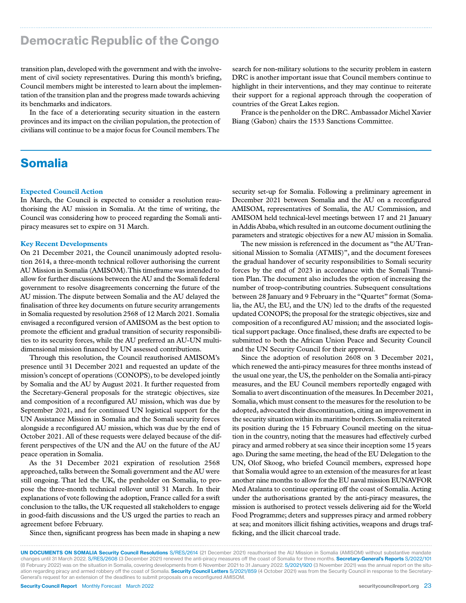# Democratic Republic of the Congo

transition plan, developed with the government and with the involvement of civil society representatives. During this month's briefing, Council members might be interested to learn about the implementation of the transition plan and the progress made towards achieving its benchmarks and indicators.

In the face of a deteriorating security situation in the eastern provinces and its impact on the civilian population, the protection of civilians will continue to be a major focus for Council members. The

# Somalia

#### **Expected Council Action**

In March, the Council is expected to consider a resolution reauthorising the AU mission in Somalia. At the time of writing, the Council was considering how to proceed regarding the Somali antipiracy measures set to expire on 31 March.

#### **Key Recent Developments**

On 21 December 2021, the Council unanimously adopted resolution 2614, a three-month technical rollover authorising the current AU Mission in Somalia (AMISOM). This timeframe was intended to allow for further discussions between the AU and the Somali federal government to resolve disagreements concerning the future of the AU mission. The dispute between Somalia and the AU delayed the finalisation of three key documents on future security arrangements in Somalia requested by resolution 2568 of 12 March 2021. Somalia envisaged a reconfigured version of AMISOM as the best option to promote the efficient and gradual transition of security responsibilities to its security forces, while the AU preferred an AU-UN multidimensional mission financed by UN assessed contributions.

Through this resolution, the Council reauthorised AMISOM's presence until 31 December 2021 and requested an update of the mission's concept of operations (CONOPS), to be developed jointly by Somalia and the AU by August 2021. It further requested from the Secretary-General proposals for the strategic objectives, size and composition of a reconfigured AU mission, which was due by September 2021, and for continued UN logistical support for the UN Assistance Mission in Somalia and the Somali security forces alongside a reconfigured AU mission, which was due by the end of October 2021. All of these requests were delayed because of the different perspectives of the UN and the AU on the future of the AU peace operation in Somalia.

As the 31 December 2021 expiration of resolution 2568 approached, talks between the Somali government and the AU were still ongoing. That led the UK, the penholder on Somalia, to propose the three-month technical rollover until 31 March. In their explanations of vote following the adoption, France called for a swift conclusion to the talks, the UK requested all stakeholders to engage in good-faith discussions and the US urged the parties to reach an agreement before February.

Since then, significant progress has been made in shaping a new

search for non-military solutions to the security problem in eastern DRC is another important issue that Council members continue to highlight in their interventions, and they may continue to reiterate their support for a regional approach through the cooperation of countries of the Great Lakes region.

France is the penholder on the DRC. Ambassador Michel Xavier Biang (Gabon) chairs the 1533 Sanctions Committee.

security set-up for Somalia. Following a preliminary agreement in December 2021 between Somalia and the AU on a reconfigured AMISOM, representatives of Somalia, the AU Commission, and AMISOM held technical-level meetings between 17 and 21 January in Addis Ababa, which resulted in an outcome document outlining the parameters and strategic objectives for a new AU mission in Somalia.

The new mission is referenced in the document as "the AU Transitional Mission to Somalia (ATMIS)", and the document foresees the gradual handover of security responsibilities to Somali security forces by the end of 2023 in accordance with the Somali Transition Plan. The document also includes the option of increasing the number of troop-contributing countries. Subsequent consultations between 28 January and 9 February in the "Quartet" format (Somalia, the AU, the EU, and the UN) led to the drafts of the requested updated CONOPS; the proposal for the strategic objectives, size and composition of a reconfigured AU mission; and the associated logistical support package. Once finalised, these drafts are expected to be submitted to both the African Union Peace and Security Council and the UN Security Council for their approval.

Since the adoption of resolution 2608 on 3 December 2021, which renewed the anti-piracy measures for three months instead of the usual one year, the US, the penholder on the Somalia anti-piracy measures, and the EU Council members reportedly engaged with Somalia to avert discontinuation of the measures. In December 2021, Somalia, which must consent to the measures for the resolution to be adopted, advocated their discontinuation, citing an improvement in the security situation within its maritime borders. Somalia reiterated its position during the 15 February Council meeting on the situation in the country, noting that the measures had effectively curbed piracy and armed robbery at sea since their inception some 15 years ago. During the same meeting, the head of the EU Delegation to the UN, Olof Skoog, who briefed Council members, expressed hope that Somalia would agree to an extension of the measures for at least another nine months to allow for the EU naval mission EUNAVFOR Med Atalanta to continue operating off the coast of Somalia. Acting under the authorisations granted by the anti-piracy measures, the mission is authorised to protect vessels delivering aid for the World Food Programme; deters and suppresses piracy and armed robbery at sea; and monitors illicit fishing activities, weapons and drugs trafficking, and the illicit charcoal trade.

UN DOCUMENTS ON SOMALIA Security Council Resolutions S/RES/2614 (21 December 2021) reauthorised the AU Mission in Somalia (AMISOM) without substantive mandate changes until 31 March 2022. S/RES/2608 (3 December 2021) renewed the anti-piracy measures off the coast of Somalia for three months. Secretary-General's Reports S/2022/101 (8 February 2022) was on the situation in Somalia, covering developments from 6 November 2021 to 31 January 2022. S/2021/920 (3 November 2021) was the annual report on the situation regarding piracy and armed robbery off the coast of Somalia. Security Council Letters S/2021/859 (4 October 2021) was from the Security Council in response to the Secretary-General's request for an extension of the deadlines to submit proposals on a reconfigured AMISOM.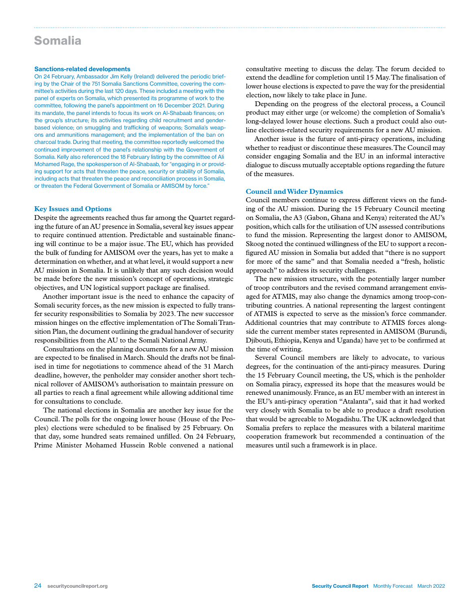### Somalia

#### Sanctions-related developments

On 24 February, Ambassador Jim Kelly (Ireland) delivered the periodic briefing by the Chair of the 751 Somalia Sanctions Committee, covering the committee's activities during the last 120 days. These included a meeting with the panel of experts on Somalia, which presented its programme of work to the committee, following the panel's appointment on 16 December 2021. During its mandate, the panel intends to focus its work on Al-Shabaab finances; on the group's structure; its activities regarding child recruitment and genderbased violence; on smuggling and trafficking of weapons; Somalia's weapons and ammunitions management; and the implementation of the ban on charcoal trade. During that meeting, the committee reportedly welcomed the continued improvement of the panel's relationship with the Government of Somalia. Kelly also referenced the 18 February listing by the committee of Ali Mohamed Rage, the spokesperson of Al-Shabaab, for "engaging in or providing support for acts that threaten the peace, security or stability of Somalia, including acts that threaten the peace and reconciliation process in Somalia, or threaten the Federal Government of Somalia or AMISOM by force."

### **Key Issues and Options**

Despite the agreements reached thus far among the Quartet regarding the future of an AU presence in Somalia, several key issues appear to require continued attention. Predictable and sustainable financing will continue to be a major issue. The EU, which has provided the bulk of funding for AMISOM over the years, has yet to make a determination on whether, and at what level, it would support a new AU mission in Somalia. It is unlikely that any such decision would be made before the new mission's concept of operations, strategic objectives, and UN logistical support package are finalised.

Another important issue is the need to enhance the capacity of Somali security forces, as the new mission is expected to fully transfer security responsibilities to Somalia by 2023. The new successor mission hinges on the effective implementation of The Somali Transition Plan, the document outlining the gradual handover of security responsibilities from the AU to the Somali National Army.

Consultations on the planning documents for a new AU mission are expected to be finalised in March. Should the drafts not be finalised in time for negotiations to commence ahead of the 31 March deadline, however, the penholder may consider another short technical rollover of AMISOM's authorisation to maintain pressure on all parties to reach a final agreement while allowing additional time for consultations to conclude.

The national elections in Somalia are another key issue for the Council. The polls for the ongoing lower house (House of the Peoples) elections were scheduled to be finalised by 25 February. On that day, some hundred seats remained unfilled. On 24 February, Prime Minister Mohamed Hussein Roble convened a national

consultative meeting to discuss the delay. The forum decided to extend the deadline for completion until 15 May. The finalisation of lower house elections is expected to pave the way for the presidential election, now likely to take place in June.

Depending on the progress of the electoral process, a Council product may either urge (or welcome) the completion of Somalia's long-delayed lower house elections. Such a product could also outline elections-related security requirements for a new AU mission.

Another issue is the future of anti-piracy operations, including whether to readjust or discontinue these measures. The Council may consider engaging Somalia and the EU in an informal interactive dialogue to discuss mutually acceptable options regarding the future of the measures.

### **Council and Wider Dynamics**

Council members continue to express different views on the funding of the AU mission. During the 15 February Council meeting on Somalia, the A3 (Gabon, Ghana and Kenya) reiterated the AU's position, which calls for the utilisation of UN assessed contributions to fund the mission. Representing the largest donor to AMISOM, Skoog noted the continued willingness of the EU to support a reconfigured AU mission in Somalia but added that "there is no support for more of the same" and that Somalia needed a "fresh, holistic approach" to address its security challenges.

The new mission structure, with the potentially larger number of troop contributors and the revised command arrangement envisaged for ATMIS, may also change the dynamics among troop-contributing countries. A national representing the largest contingent of ATMIS is expected to serve as the mission's force commander. Additional countries that may contribute to ATMIS forces alongside the current member states represented in AMISOM (Burundi, Djibouti, Ethiopia, Kenya and Uganda) have yet to be confirmed at the time of writing.

Several Council members are likely to advocate, to various degrees, for the continuation of the anti-piracy measures. During the 15 February Council meeting, the US, which is the penholder on Somalia piracy, expressed its hope that the measures would be renewed unanimously. France, as an EU member with an interest in the EU's anti-piracy operation "Atalanta", said that it had worked very closely with Somalia to be able to produce a draft resolution that would be agreeable to Mogadishu. The UK acknowledged that Somalia prefers to replace the measures with a bilateral maritime cooperation framework but recommended a continuation of the measures until such a framework is in place.